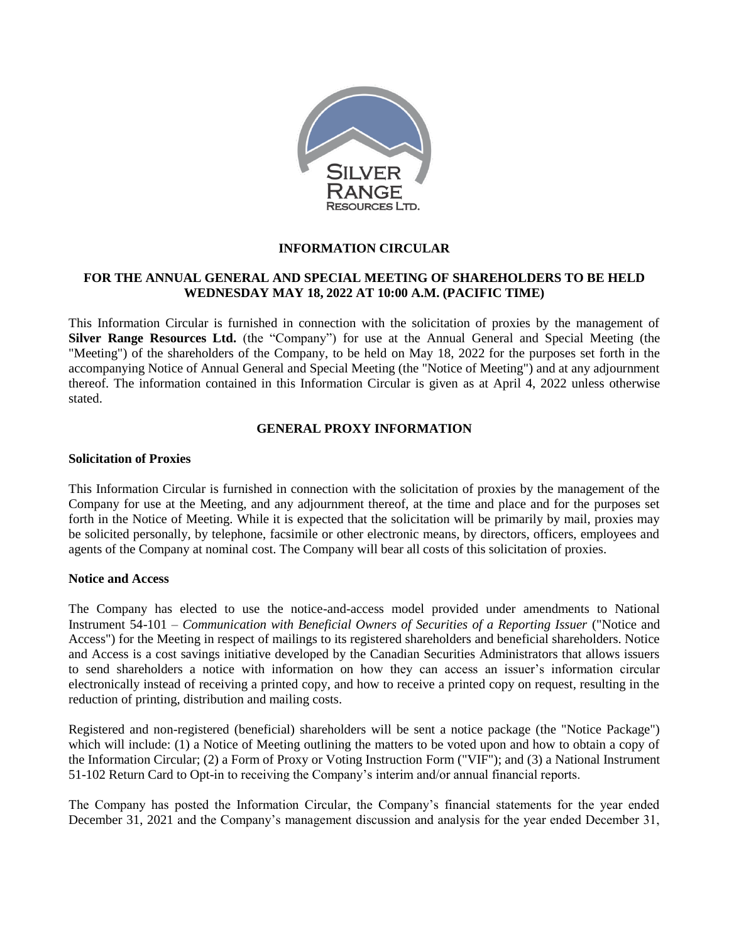

## **INFORMATION CIRCULAR**

### **FOR THE ANNUAL GENERAL AND SPECIAL MEETING OF SHAREHOLDERS TO BE HELD WEDNESDAY MAY 18, 2022 AT 10:00 A.M. (PACIFIC TIME)**

This Information Circular is furnished in connection with the solicitation of proxies by the management of **Silver Range Resources Ltd.** (the "Company") for use at the Annual General and Special Meeting (the "Meeting") of the shareholders of the Company, to be held on May 18, 2022 for the purposes set forth in the accompanying Notice of Annual General and Special Meeting (the "Notice of Meeting") and at any adjournment thereof. The information contained in this Information Circular is given as at April 4, 2022 unless otherwise stated.

### **GENERAL PROXY INFORMATION**

#### **Solicitation of Proxies**

This Information Circular is furnished in connection with the solicitation of proxies by the management of the Company for use at the Meeting, and any adjournment thereof, at the time and place and for the purposes set forth in the Notice of Meeting. While it is expected that the solicitation will be primarily by mail, proxies may be solicited personally, by telephone, facsimile or other electronic means, by directors, officers, employees and agents of the Company at nominal cost. The Company will bear all costs of this solicitation of proxies.

#### **Notice and Access**

The Company has elected to use the notice-and-access model provided under amendments to National Instrument 54-101 – *Communication with Beneficial Owners of Securities of a Reporting Issuer* ("Notice and Access") for the Meeting in respect of mailings to its registered shareholders and beneficial shareholders. Notice and Access is a cost savings initiative developed by the Canadian Securities Administrators that allows issuers to send shareholders a notice with information on how they can access an issuer's information circular electronically instead of receiving a printed copy, and how to receive a printed copy on request, resulting in the reduction of printing, distribution and mailing costs.

Registered and non-registered (beneficial) shareholders will be sent a notice package (the "Notice Package") which will include: (1) a Notice of Meeting outlining the matters to be voted upon and how to obtain a copy of the Information Circular; (2) a Form of Proxy or Voting Instruction Form ("VIF"); and (3) a National Instrument 51-102 Return Card to Opt-in to receiving the Company's interim and/or annual financial reports.

The Company has posted the Information Circular, the Company's financial statements for the year ended December 31, 2021 and the Company's management discussion and analysis for the year ended December 31,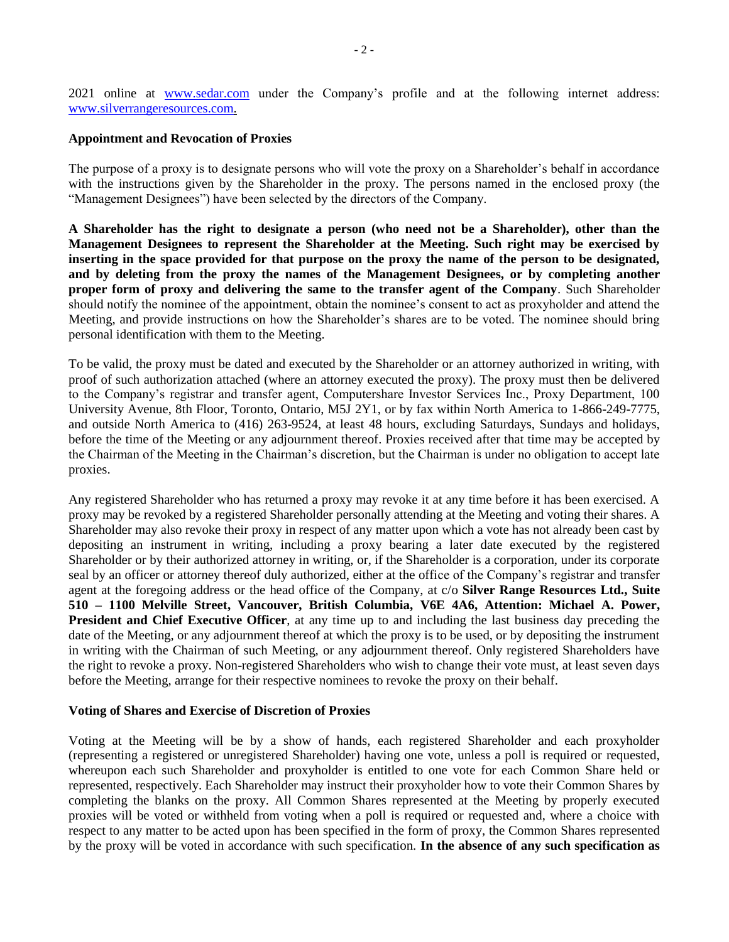2021 online at [www.sedar.com](http://www.sedar.com/) under the Company's profile and at the following internet address: [www.silverrangeresources.com.](http://www.silverrangeresources.com/)

#### **Appointment and Revocation of Proxies**

The purpose of a proxy is to designate persons who will vote the proxy on a Shareholder's behalf in accordance with the instructions given by the Shareholder in the proxy. The persons named in the enclosed proxy (the "Management Designees") have been selected by the directors of the Company.

**A Shareholder has the right to designate a person (who need not be a Shareholder), other than the Management Designees to represent the Shareholder at the Meeting. Such right may be exercised by inserting in the space provided for that purpose on the proxy the name of the person to be designated, and by deleting from the proxy the names of the Management Designees, or by completing another proper form of proxy and delivering the same to the transfer agent of the Company**. Such Shareholder should notify the nominee of the appointment, obtain the nominee's consent to act as proxyholder and attend the Meeting, and provide instructions on how the Shareholder's shares are to be voted. The nominee should bring personal identification with them to the Meeting.

To be valid, the proxy must be dated and executed by the Shareholder or an attorney authorized in writing, with proof of such authorization attached (where an attorney executed the proxy). The proxy must then be delivered to the Company's registrar and transfer agent, Computershare Investor Services Inc., Proxy Department, 100 University Avenue, 8th Floor, Toronto, Ontario, M5J 2Y1, or by fax within North America to 1-866-249-7775, and outside North America to (416) 263-9524, at least 48 hours, excluding Saturdays, Sundays and holidays, before the time of the Meeting or any adjournment thereof. Proxies received after that time may be accepted by the Chairman of the Meeting in the Chairman's discretion, but the Chairman is under no obligation to accept late proxies.

Any registered Shareholder who has returned a proxy may revoke it at any time before it has been exercised. A proxy may be revoked by a registered Shareholder personally attending at the Meeting and voting their shares. A Shareholder may also revoke their proxy in respect of any matter upon which a vote has not already been cast by depositing an instrument in writing, including a proxy bearing a later date executed by the registered Shareholder or by their authorized attorney in writing, or, if the Shareholder is a corporation, under its corporate seal by an officer or attorney thereof duly authorized, either at the office of the Company's registrar and transfer agent at the foregoing address or the head office of the Company, at c/o **Silver Range Resources Ltd., Suite 510 – 1100 Melville Street, Vancouver, British Columbia, V6E 4A6, Attention: Michael A. Power, President and Chief Executive Officer**, at any time up to and including the last business day preceding the date of the Meeting, or any adjournment thereof at which the proxy is to be used, or by depositing the instrument in writing with the Chairman of such Meeting, or any adjournment thereof. Only registered Shareholders have the right to revoke a proxy. Non-registered Shareholders who wish to change their vote must, at least seven days before the Meeting, arrange for their respective nominees to revoke the proxy on their behalf.

#### **Voting of Shares and Exercise of Discretion of Proxies**

Voting at the Meeting will be by a show of hands, each registered Shareholder and each proxyholder (representing a registered or unregistered Shareholder) having one vote, unless a poll is required or requested, whereupon each such Shareholder and proxyholder is entitled to one vote for each Common Share held or represented, respectively. Each Shareholder may instruct their proxyholder how to vote their Common Shares by completing the blanks on the proxy. All Common Shares represented at the Meeting by properly executed proxies will be voted or withheld from voting when a poll is required or requested and, where a choice with respect to any matter to be acted upon has been specified in the form of proxy, the Common Shares represented by the proxy will be voted in accordance with such specification. **In the absence of any such specification as**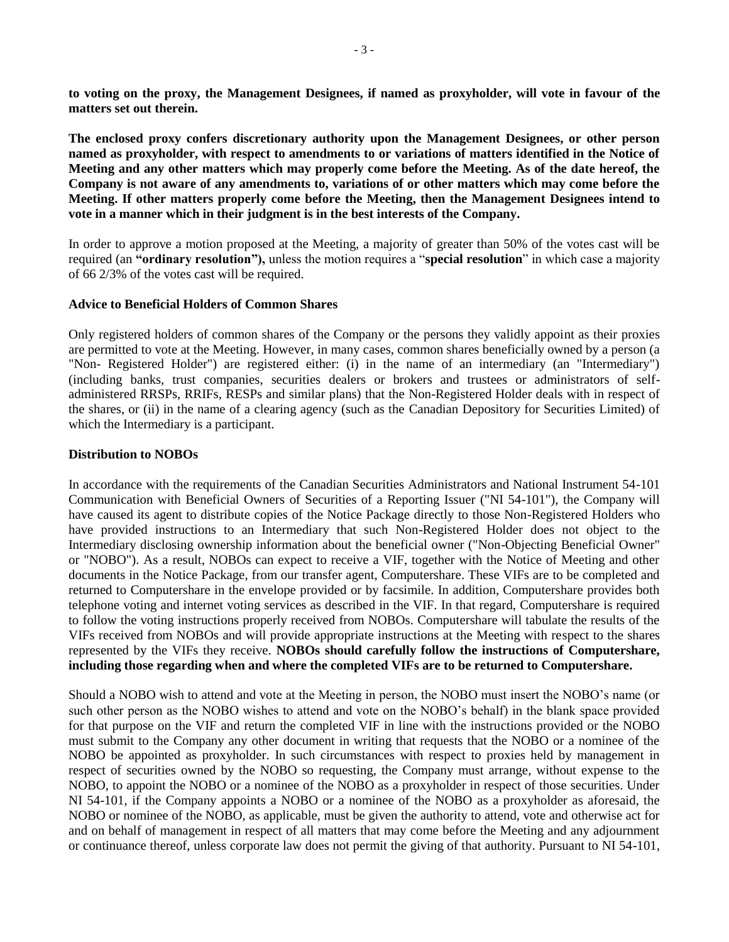**to voting on the proxy, the Management Designees, if named as proxyholder, will vote in favour of the matters set out therein.**

**The enclosed proxy confers discretionary authority upon the Management Designees, or other person named as proxyholder, with respect to amendments to or variations of matters identified in the Notice of Meeting and any other matters which may properly come before the Meeting. As of the date hereof, the Company is not aware of any amendments to, variations of or other matters which may come before the Meeting. If other matters properly come before the Meeting, then the Management Designees intend to vote in a manner which in their judgment is in the best interests of the Company.**

In order to approve a motion proposed at the Meeting, a majority of greater than 50% of the votes cast will be required (an **"ordinary resolution"),** unless the motion requires a "**special resolution**" in which case a majority of 66 2/3% of the votes cast will be required.

#### **Advice to Beneficial Holders of Common Shares**

Only registered holders of common shares of the Company or the persons they validly appoint as their proxies are permitted to vote at the Meeting. However, in many cases, common shares beneficially owned by a person (a "Non- Registered Holder") are registered either: (i) in the name of an intermediary (an "Intermediary") (including banks, trust companies, securities dealers or brokers and trustees or administrators of selfadministered RRSPs, RRIFs, RESPs and similar plans) that the Non-Registered Holder deals with in respect of the shares, or (ii) in the name of a clearing agency (such as the Canadian Depository for Securities Limited) of which the Intermediary is a participant.

#### **Distribution to NOBOs**

In accordance with the requirements of the Canadian Securities Administrators and National Instrument 54-101 Communication with Beneficial Owners of Securities of a Reporting Issuer ("NI 54-101"), the Company will have caused its agent to distribute copies of the Notice Package directly to those Non-Registered Holders who have provided instructions to an Intermediary that such Non-Registered Holder does not object to the Intermediary disclosing ownership information about the beneficial owner ("Non-Objecting Beneficial Owner" or "NOBO"). As a result, NOBOs can expect to receive a VIF, together with the Notice of Meeting and other documents in the Notice Package, from our transfer agent, Computershare. These VIFs are to be completed and returned to Computershare in the envelope provided or by facsimile. In addition, Computershare provides both telephone voting and internet voting services as described in the VIF. In that regard, Computershare is required to follow the voting instructions properly received from NOBOs. Computershare will tabulate the results of the VIFs received from NOBOs and will provide appropriate instructions at the Meeting with respect to the shares represented by the VIFs they receive. **NOBOs should carefully follow the instructions of Computershare, including those regarding when and where the completed VIFs are to be returned to Computershare.**

Should a NOBO wish to attend and vote at the Meeting in person, the NOBO must insert the NOBO's name (or such other person as the NOBO wishes to attend and vote on the NOBO's behalf) in the blank space provided for that purpose on the VIF and return the completed VIF in line with the instructions provided or the NOBO must submit to the Company any other document in writing that requests that the NOBO or a nominee of the NOBO be appointed as proxyholder. In such circumstances with respect to proxies held by management in respect of securities owned by the NOBO so requesting, the Company must arrange, without expense to the NOBO, to appoint the NOBO or a nominee of the NOBO as a proxyholder in respect of those securities. Under NI 54-101, if the Company appoints a NOBO or a nominee of the NOBO as a proxyholder as aforesaid, the NOBO or nominee of the NOBO, as applicable, must be given the authority to attend, vote and otherwise act for and on behalf of management in respect of all matters that may come before the Meeting and any adjournment or continuance thereof, unless corporate law does not permit the giving of that authority. Pursuant to NI 54-101,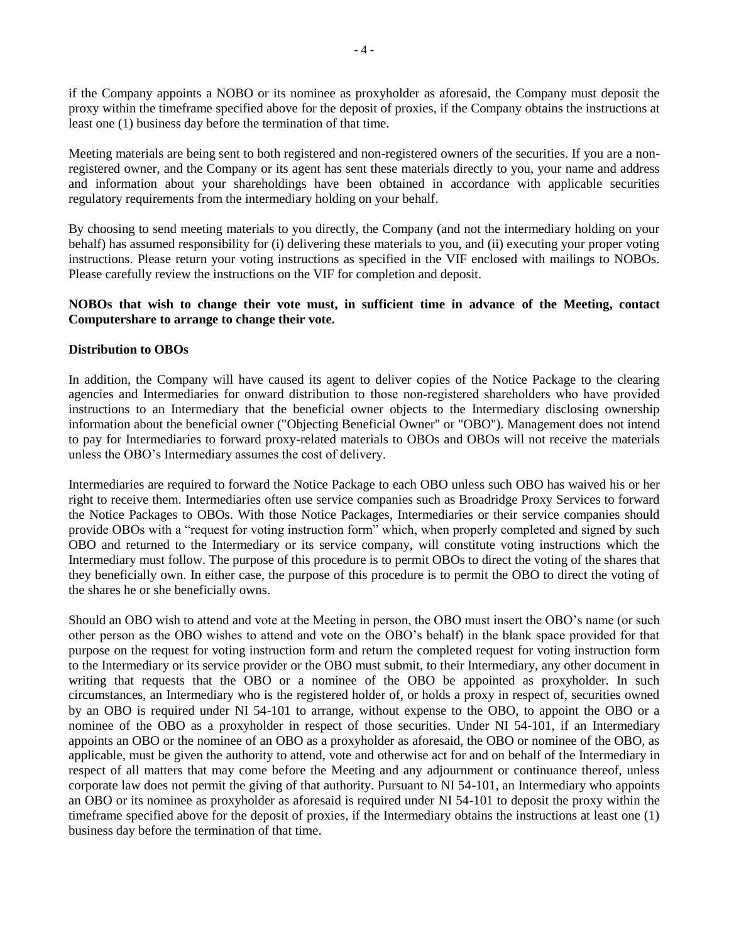if the Company appoints a NOBO or its nominee as proxyholder as aforesaid, the Company must deposit the proxy within the timeframe specified above for the deposit of proxies, if the Company obtains the instructions at least one (1) business day before the termination of that time.

Meeting materials are being sent to both registered and non-registered owners of the securities. If you are a nonregistered owner, and the Company or its agent has sent these materials directly to you, your name and address and information about your shareholdings have been obtained in accordance with applicable securities regulatory requirements from the intermediary holding on your behalf.

By choosing to send meeting materials to you directly, the Company (and not the intermediary holding on your behalf) has assumed responsibility for (i) delivering these materials to you, and (ii) executing your proper voting instructions. Please return your voting instructions as specified in the VIF enclosed with mailings to NOBOs. Please carefully review the instructions on the VIF for completion and deposit.

### **NOBOs that wish to change their vote must, in sufficient time in advance of the Meeting, contact Computershare to arrange to change their vote.**

#### **Distribution to OBOs**

In addition, the Company will have caused its agent to deliver copies of the Notice Package to the clearing agencies and Intermediaries for onward distribution to those non-registered shareholders who have provided instructions to an Intermediary that the beneficial owner objects to the Intermediary disclosing ownership information about the beneficial owner ("Objecting Beneficial Owner" or "OBO"). Management does not intend to pay for Intermediaries to forward proxy-related materials to OBOs and OBOs will not receive the materials unless the OBO's Intermediary assumes the cost of delivery.

Intermediaries are required to forward the Notice Package to each OBO unless such OBO has waived his or her right to receive them. Intermediaries often use service companies such as Broadridge Proxy Services to forward the Notice Packages to OBOs. With those Notice Packages, Intermediaries or their service companies should provide OBOs with a "request for voting instruction form" which, when properly completed and signed by such OBO and returned to the Intermediary or its service company, will constitute voting instructions which the Intermediary must follow. The purpose of this procedure is to permit OBOs to direct the voting of the shares that they beneficially own. In either case, the purpose of this procedure is to permit the OBO to direct the voting of the shares he or she beneficially owns.

Should an OBO wish to attend and vote at the Meeting in person, the OBO must insert the OBO's name (or such other person as the OBO wishes to attend and vote on the OBO's behalf) in the blank space provided for that purpose on the request for voting instruction form and return the completed request for voting instruction form to the Intermediary or its service provider or the OBO must submit, to their Intermediary, any other document in writing that requests that the OBO or a nominee of the OBO be appointed as proxyholder. In such circumstances, an Intermediary who is the registered holder of, or holds a proxy in respect of, securities owned by an OBO is required under NI 54-101 to arrange, without expense to the OBO, to appoint the OBO or a nominee of the OBO as a proxyholder in respect of those securities. Under NI 54-101, if an Intermediary appoints an OBO or the nominee of an OBO as a proxyholder as aforesaid, the OBO or nominee of the OBO, as applicable, must be given the authority to attend, vote and otherwise act for and on behalf of the Intermediary in respect of all matters that may come before the Meeting and any adjournment or continuance thereof, unless corporate law does not permit the giving of that authority. Pursuant to NI 54-101, an Intermediary who appoints an OBO or its nominee as proxyholder as aforesaid is required under NI 54-101 to deposit the proxy within the timeframe specified above for the deposit of proxies, if the Intermediary obtains the instructions at least one (1) business day before the termination of that time.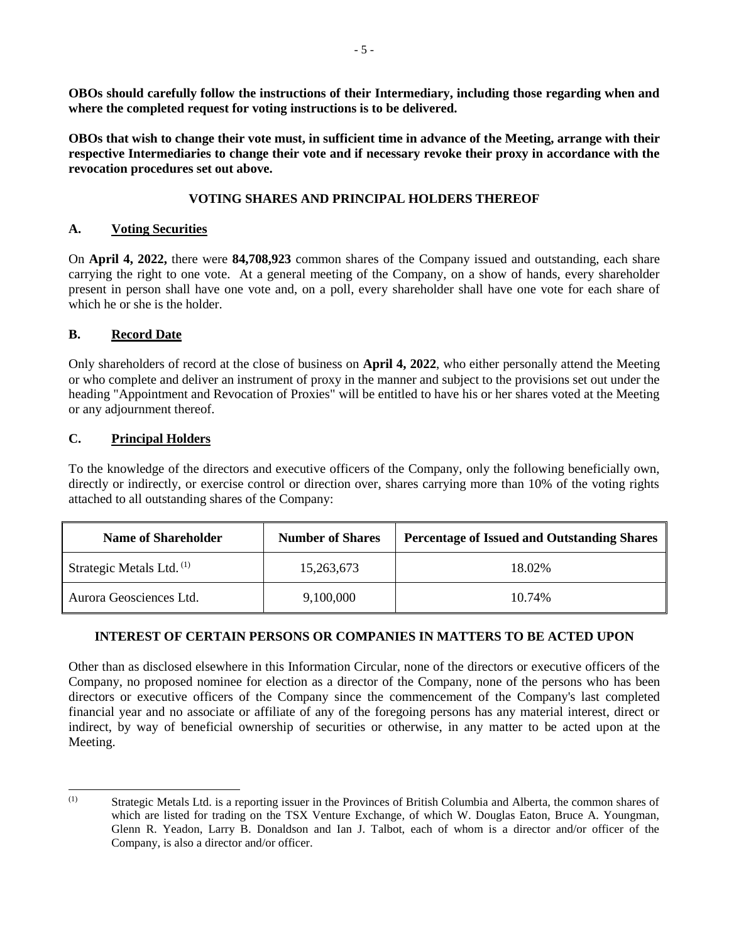**OBOs should carefully follow the instructions of their Intermediary, including those regarding when and where the completed request for voting instructions is to be delivered.**

**OBOs that wish to change their vote must, in sufficient time in advance of the Meeting, arrange with their respective Intermediaries to change their vote and if necessary revoke their proxy in accordance with the revocation procedures set out above.**

## **VOTING SHARES AND PRINCIPAL HOLDERS THEREOF**

### **A. Voting Securities**

On **April 4, 2022,** there were **84,708,923** common shares of the Company issued and outstanding, each share carrying the right to one vote. At a general meeting of the Company, on a show of hands, every shareholder present in person shall have one vote and, on a poll, every shareholder shall have one vote for each share of which he or she is the holder.

### **B. Record Date**

Only shareholders of record at the close of business on **April 4, 2022**, who either personally attend the Meeting or who complete and deliver an instrument of proxy in the manner and subject to the provisions set out under the heading "Appointment and Revocation of Proxies" will be entitled to have his or her shares voted at the Meeting or any adjournment thereof.

## **C. Principal Holders**

To the knowledge of the directors and executive officers of the Company, only the following beneficially own, directly or indirectly, or exercise control or direction over, shares carrying more than 10% of the voting rights attached to all outstanding shares of the Company:

| Name of Shareholder       | <b>Number of Shares</b> | <b>Percentage of Issued and Outstanding Shares</b> |
|---------------------------|-------------------------|----------------------------------------------------|
| Strategic Metals Ltd. (1) | 15,263,673              | 18.02%                                             |
| Aurora Geosciences Ltd.   | 9,100,000               | 10.74%                                             |

### **INTEREST OF CERTAIN PERSONS OR COMPANIES IN MATTERS TO BE ACTED UPON**

Other than as disclosed elsewhere in this Information Circular, none of the directors or executive officers of the Company, no proposed nominee for election as a director of the Company, none of the persons who has been directors or executive officers of the Company since the commencement of the Company's last completed financial year and no associate or affiliate of any of the foregoing persons has any material interest, direct or indirect, by way of beneficial ownership of securities or otherwise, in any matter to be acted upon at the Meeting.

 $(1)$ Strategic Metals Ltd. is a reporting issuer in the Provinces of British Columbia and Alberta, the common shares of which are listed for trading on the TSX Venture Exchange, of which W. Douglas Eaton, Bruce A. Youngman, Glenn R. Yeadon, Larry B. Donaldson and Ian J. Talbot, each of whom is a director and/or officer of the Company, is also a director and/or officer.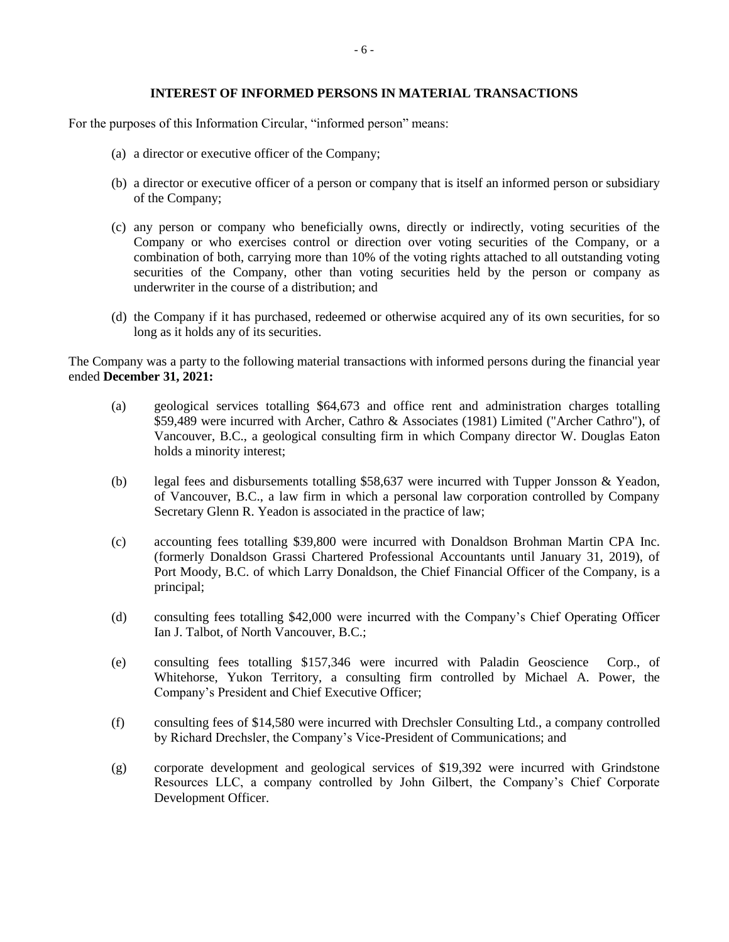#### **INTEREST OF INFORMED PERSONS IN MATERIAL TRANSACTIONS**

For the purposes of this Information Circular, "informed person" means:

- (a) a director or executive officer of the Company;
- (b) a director or executive officer of a person or company that is itself an informed person or subsidiary of the Company;
- (c) any person or company who beneficially owns, directly or indirectly, voting securities of the Company or who exercises control or direction over voting securities of the Company, or a combination of both, carrying more than 10% of the voting rights attached to all outstanding voting securities of the Company, other than voting securities held by the person or company as underwriter in the course of a distribution; and
- (d) the Company if it has purchased, redeemed or otherwise acquired any of its own securities, for so long as it holds any of its securities.

The Company was a party to the following material transactions with informed persons during the financial year ended **December 31, 2021:**

- (a) geological services totalling \$64,673 and office rent and administration charges totalling \$59,489 were incurred with Archer, Cathro & Associates (1981) Limited ("Archer Cathro"), of Vancouver, B.C., a geological consulting firm in which Company director W. Douglas Eaton holds a minority interest;
- (b) legal fees and disbursements totalling \$58,637 were incurred with Tupper Jonsson & Yeadon, of Vancouver, B.C., a law firm in which a personal law corporation controlled by Company Secretary Glenn R. Yeadon is associated in the practice of law;
- (c) accounting fees totalling \$39,800 were incurred with Donaldson Brohman Martin CPA Inc. (formerly Donaldson Grassi Chartered Professional Accountants until January 31, 2019), of Port Moody, B.C. of which Larry Donaldson, the Chief Financial Officer of the Company, is a principal;
- (d) consulting fees totalling \$42,000 were incurred with the Company's Chief Operating Officer Ian J. Talbot, of North Vancouver, B.C.;
- (e) consulting fees totalling \$157,346 were incurred with Paladin Geoscience Corp., of Whitehorse, Yukon Territory, a consulting firm controlled by Michael A. Power, the Company's President and Chief Executive Officer;
- (f) consulting fees of \$14,580 were incurred with Drechsler Consulting Ltd., a company controlled by Richard Drechsler, the Company's Vice-President of Communications; and
- (g) corporate development and geological services of \$19,392 were incurred with Grindstone Resources LLC, a company controlled by John Gilbert, the Company's Chief Corporate Development Officer.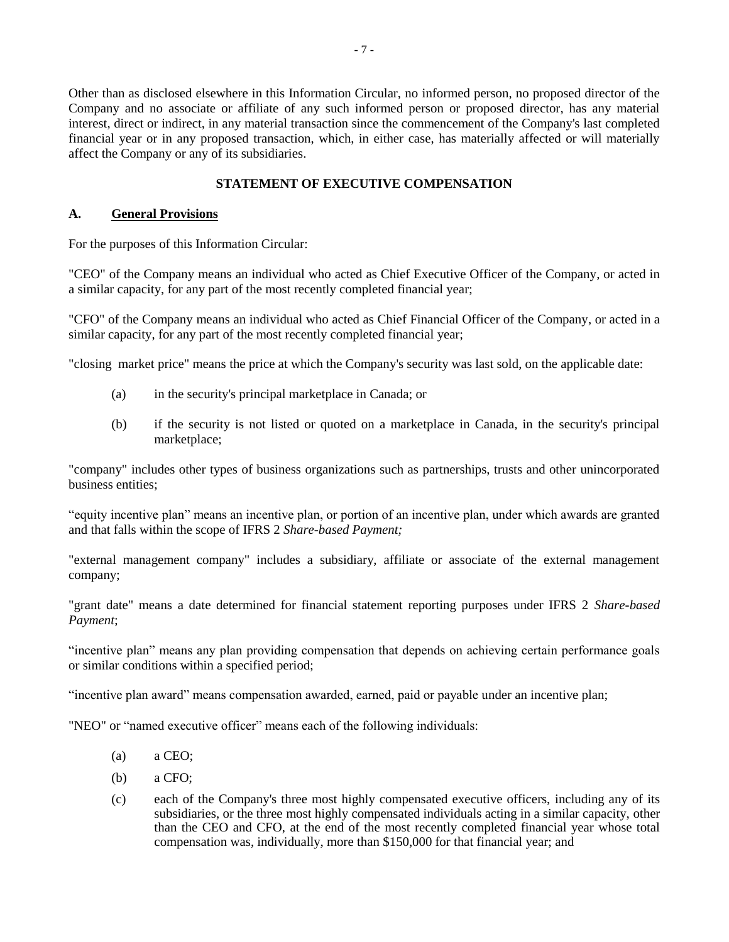Other than as disclosed elsewhere in this Information Circular, no informed person, no proposed director of the Company and no associate or affiliate of any such informed person or proposed director, has any material interest, direct or indirect, in any material transaction since the commencement of the Company's last completed financial year or in any proposed transaction, which, in either case, has materially affected or will materially affect the Company or any of its subsidiaries.

## **STATEMENT OF EXECUTIVE COMPENSATION**

### **A. General Provisions**

For the purposes of this Information Circular:

"CEO" of the Company means an individual who acted as Chief Executive Officer of the Company, or acted in a similar capacity, for any part of the most recently completed financial year;

"CFO" of the Company means an individual who acted as Chief Financial Officer of the Company, or acted in a similar capacity, for any part of the most recently completed financial year;

"closing market price" means the price at which the Company's security was last sold, on the applicable date:

- (a) in the security's principal marketplace in Canada; or
- (b) if the security is not listed or quoted on a marketplace in Canada, in the security's principal marketplace;

"company" includes other types of business organizations such as partnerships, trusts and other unincorporated business entities;

"equity incentive plan" means an incentive plan, or portion of an incentive plan, under which awards are granted and that falls within the scope of IFRS 2 *Share-based Payment;*

"external management company" includes a subsidiary, affiliate or associate of the external management company;

"grant date" means a date determined for financial statement reporting purposes under IFRS 2 *Share-based Payment*;

"incentive plan" means any plan providing compensation that depends on achieving certain performance goals or similar conditions within a specified period;

"incentive plan award" means compensation awarded, earned, paid or payable under an incentive plan;

"NEO" or "named executive officer" means each of the following individuals:

- (a) a CEO;
- (b) a CFO;
- (c) each of the Company's three most highly compensated executive officers, including any of its subsidiaries, or the three most highly compensated individuals acting in a similar capacity, other than the CEO and CFO, at the end of the most recently completed financial year whose total compensation was, individually, more than \$150,000 for that financial year; and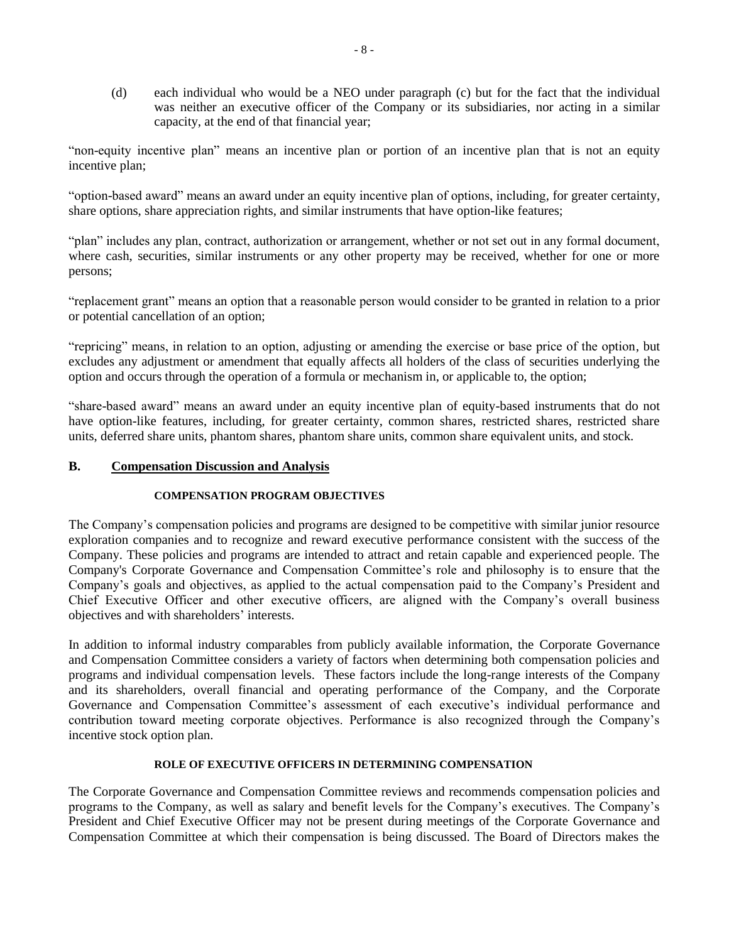(d) each individual who would be a NEO under paragraph (c) but for the fact that the individual was neither an executive officer of the Company or its subsidiaries, nor acting in a similar capacity, at the end of that financial year;

"non-equity incentive plan" means an incentive plan or portion of an incentive plan that is not an equity incentive plan;

"option-based award" means an award under an equity incentive plan of options, including, for greater certainty, share options, share appreciation rights, and similar instruments that have option-like features;

"plan" includes any plan, contract, authorization or arrangement, whether or not set out in any formal document, where cash, securities, similar instruments or any other property may be received, whether for one or more persons;

"replacement grant" means an option that a reasonable person would consider to be granted in relation to a prior or potential cancellation of an option;

"repricing" means, in relation to an option, adjusting or amending the exercise or base price of the option, but excludes any adjustment or amendment that equally affects all holders of the class of securities underlying the option and occurs through the operation of a formula or mechanism in, or applicable to, the option;

"share-based award" means an award under an equity incentive plan of equity-based instruments that do not have option-like features, including, for greater certainty, common shares, restricted shares, restricted share units, deferred share units, phantom shares, phantom share units, common share equivalent units, and stock.

#### **B. Compensation Discussion and Analysis**

#### **COMPENSATION PROGRAM OBJECTIVES**

The Company's compensation policies and programs are designed to be competitive with similar junior resource exploration companies and to recognize and reward executive performance consistent with the success of the Company. These policies and programs are intended to attract and retain capable and experienced people. The Company's Corporate Governance and Compensation Committee's role and philosophy is to ensure that the Company's goals and objectives, as applied to the actual compensation paid to the Company's President and Chief Executive Officer and other executive officers, are aligned with the Company's overall business objectives and with shareholders' interests.

In addition to informal industry comparables from publicly available information, the Corporate Governance and Compensation Committee considers a variety of factors when determining both compensation policies and programs and individual compensation levels. These factors include the long-range interests of the Company and its shareholders, overall financial and operating performance of the Company, and the Corporate Governance and Compensation Committee's assessment of each executive's individual performance and contribution toward meeting corporate objectives. Performance is also recognized through the Company's incentive stock option plan.

#### **ROLE OF EXECUTIVE OFFICERS IN DETERMINING COMPENSATION**

The Corporate Governance and Compensation Committee reviews and recommends compensation policies and programs to the Company, as well as salary and benefit levels for the Company's executives. The Company's President and Chief Executive Officer may not be present during meetings of the Corporate Governance and Compensation Committee at which their compensation is being discussed. The Board of Directors makes the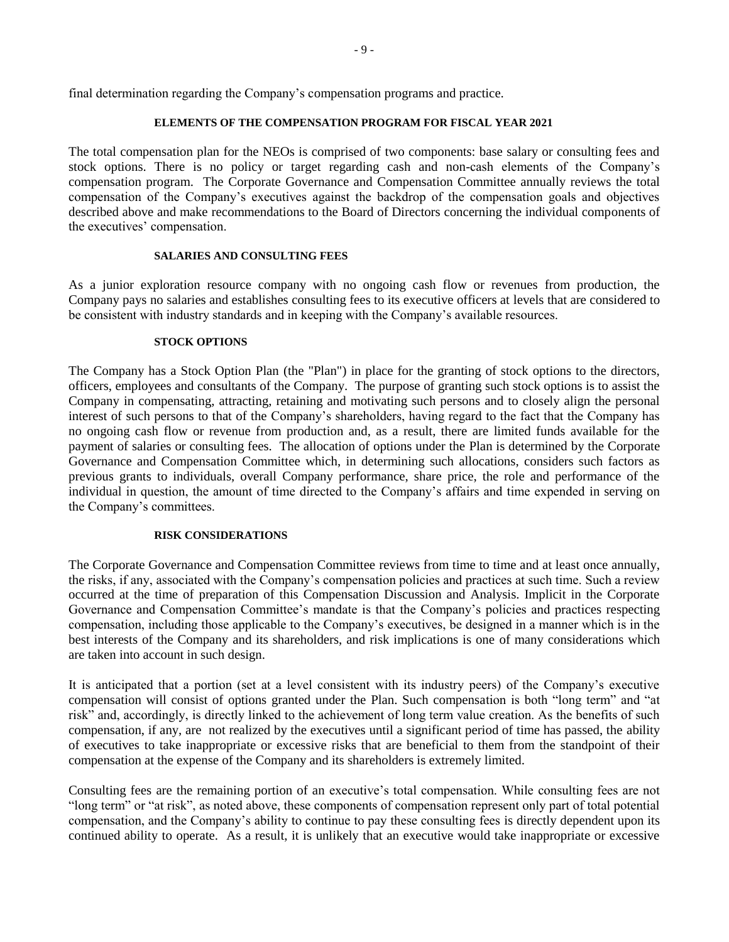final determination regarding the Company's compensation programs and practice.

#### **ELEMENTS OF THE COMPENSATION PROGRAM FOR FISCAL YEAR 2021**

The total compensation plan for the NEOs is comprised of two components: base salary or consulting fees and stock options. There is no policy or target regarding cash and non-cash elements of the Company's compensation program. The Corporate Governance and Compensation Committee annually reviews the total compensation of the Company's executives against the backdrop of the compensation goals and objectives described above and make recommendations to the Board of Directors concerning the individual components of the executives' compensation.

### **SALARIES AND CONSULTING FEES**

As a junior exploration resource company with no ongoing cash flow or revenues from production, the Company pays no salaries and establishes consulting fees to its executive officers at levels that are considered to be consistent with industry standards and in keeping with the Company's available resources.

#### **STOCK OPTIONS**

The Company has a Stock Option Plan (the "Plan") in place for the granting of stock options to the directors, officers, employees and consultants of the Company. The purpose of granting such stock options is to assist the Company in compensating, attracting, retaining and motivating such persons and to closely align the personal interest of such persons to that of the Company's shareholders, having regard to the fact that the Company has no ongoing cash flow or revenue from production and, as a result, there are limited funds available for the payment of salaries or consulting fees. The allocation of options under the Plan is determined by the Corporate Governance and Compensation Committee which, in determining such allocations, considers such factors as previous grants to individuals, overall Company performance, share price, the role and performance of the individual in question, the amount of time directed to the Company's affairs and time expended in serving on the Company's committees.

#### **RISK CONSIDERATIONS**

The Corporate Governance and Compensation Committee reviews from time to time and at least once annually, the risks, if any, associated with the Company's compensation policies and practices at such time. Such a review occurred at the time of preparation of this Compensation Discussion and Analysis. Implicit in the Corporate Governance and Compensation Committee's mandate is that the Company's policies and practices respecting compensation, including those applicable to the Company's executives, be designed in a manner which is in the best interests of the Company and its shareholders, and risk implications is one of many considerations which are taken into account in such design.

It is anticipated that a portion (set at a level consistent with its industry peers) of the Company's executive compensation will consist of options granted under the Plan. Such compensation is both "long term" and "at risk" and, accordingly, is directly linked to the achievement of long term value creation. As the benefits of such compensation, if any, are not realized by the executives until a significant period of time has passed, the ability of executives to take inappropriate or excessive risks that are beneficial to them from the standpoint of their compensation at the expense of the Company and its shareholders is extremely limited.

Consulting fees are the remaining portion of an executive's total compensation. While consulting fees are not "long term" or "at risk", as noted above, these components of compensation represent only part of total potential compensation, and the Company's ability to continue to pay these consulting fees is directly dependent upon its continued ability to operate. As a result, it is unlikely that an executive would take inappropriate or excessive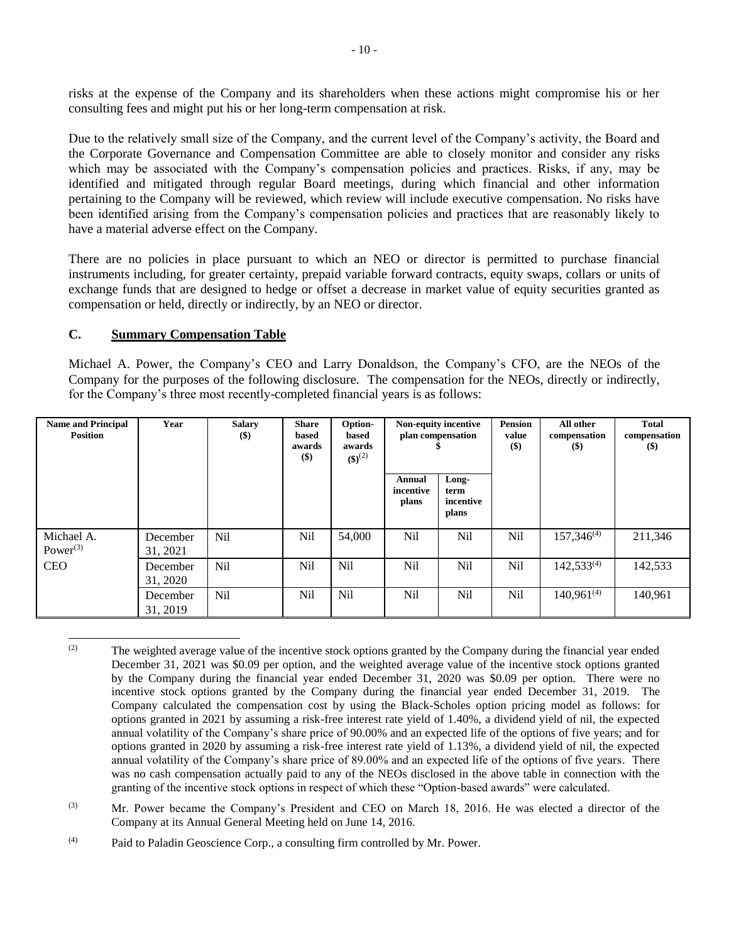risks at the expense of the Company and its shareholders when these actions might compromise his or her consulting fees and might put his or her long-term compensation at risk.

Due to the relatively small size of the Company, and the current level of the Company's activity, the Board and the Corporate Governance and Compensation Committee are able to closely monitor and consider any risks which may be associated with the Company's compensation policies and practices. Risks, if any, may be identified and mitigated through regular Board meetings, during which financial and other information pertaining to the Company will be reviewed, which review will include executive compensation. No risks have been identified arising from the Company's compensation policies and practices that are reasonably likely to have a material adverse effect on the Company.

There are no policies in place pursuant to which an NEO or director is permitted to purchase financial instruments including, for greater certainty, prepaid variable forward contracts, equity swaps, collars or units of exchange funds that are designed to hedge or offset a decrease in market value of equity securities granted as compensation or held, directly or indirectly, by an NEO or director.

#### **C. Summary Compensation Table**

Michael A. Power, the Company's CEO and Larry Donaldson, the Company's CFO, are the NEOs of the Company for the purposes of the following disclosure. The compensation for the NEOs, directly or indirectly, for the Company's three most recently-completed financial years is as follows:

| <b>Name and Principal</b><br><b>Position</b> | Year                 | <b>Salary</b><br>$(\$)$ | <b>Share</b><br>based<br>awards<br>$($)$ | Option-<br>based<br>awards<br>$({\rm S})^{(2)}$ |                              | Non-equity incentive<br>plan compensation |                 | All other<br>compensation<br>$($)$ | <b>Total</b><br>compensation<br>$(\$)$ |
|----------------------------------------------|----------------------|-------------------------|------------------------------------------|-------------------------------------------------|------------------------------|-------------------------------------------|-----------------|------------------------------------|----------------------------------------|
|                                              |                      |                         |                                          |                                                 | Annual<br>incentive<br>plans | Long-<br>term<br>incentive<br>plans       |                 |                                    |                                        |
| Michael A.<br>Power $^{(3)}$                 | December<br>31, 2021 | <b>Nil</b>              | N <sub>il</sub>                          | 54,000                                          | N <sub>il</sub>              | N <sub>il</sub>                           | Nil             | $157,346^{(4)}$                    | 211,346                                |
| <b>CEO</b>                                   | December<br>31, 2020 | N <sub>il</sub>         | N <sub>il</sub>                          | Nil                                             | N <sub>il</sub>              | Nil                                       | Nil             | $142,533^{(4)}$                    | 142,533                                |
|                                              | December<br>31, 2019 | <b>Nil</b>              | N <sub>il</sub>                          | N <sub>il</sub>                                 | N <sub>il</sub>              | N <sub>il</sub>                           | N <sub>il</sub> | $140,961^{(4)}$                    | 140,961                                |

<span id="page-9-0"></span> $(2)$ The weighted average value of the incentive stock options granted by the Company during the financial year ended December 31, 2021 was \$0.09 per option, and the weighted average value of the incentive stock options granted by the Company during the financial year ended December 31, 2020 was \$0.09 per option. There were no incentive stock options granted by the Company during the financial year ended December 31, 2019. The Company calculated the compensation cost by using the Black-Scholes option pricing model as follows: for options granted in 2021 by assuming a risk-free interest rate yield of 1.40%, a dividend yield of nil, the expected annual volatility of the Company's share price of 90.00% and an expected life of the options of five years; and for options granted in 2020 by assuming a risk-free interest rate yield of 1.13%, a dividend yield of nil, the expected annual volatility of the Company's share price of 89.00% and an expected life of the options of five years. There was no cash compensation actually paid to any of the NEOs disclosed in the above table in connection with the granting of the incentive stock options in respect of which these "Option-based awards" were calculated.

- (3) Mr. Power became the Company's President and CEO on March 18, 2016. He was elected a director of the Company at its Annual General Meeting held on June 14, 2016.
- (4) Paid to Paladin Geoscience Corp., a consulting firm controlled by Mr. Power.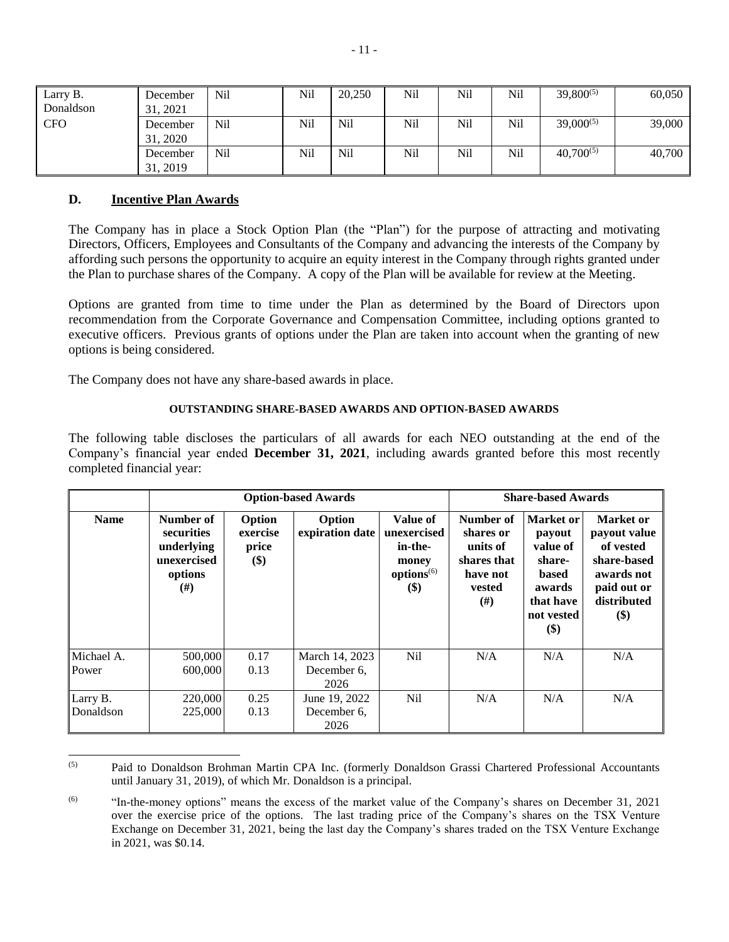| Larry B.<br>Donaldson<br><b>CFO</b> | December<br>31, 2021 | <b>Nil</b> | <b>Nil</b> | 20,250          | Nil        | Nil | Nil | $39,800^{(5)}$ | 60,050 |
|-------------------------------------|----------------------|------------|------------|-----------------|------------|-----|-----|----------------|--------|
|                                     | December<br>31, 2020 | <b>Nil</b> | <b>Nil</b> | N <sub>il</sub> | <b>Nil</b> | Nil | Nil | $39,000^{(5)}$ | 39,000 |
|                                     | December             | Nil        | Nil        | Nil             | Nil        | Nil | Nil | $40,700^{(5)}$ | 40,700 |
|                                     | , 2019<br>31.        |            |            |                 |            |     |     |                |        |

### **D. Incentive Plan Awards**

The Company has in place a Stock Option Plan (the "Plan") for the purpose of attracting and motivating Directors, Officers, Employees and Consultants of the Company and advancing the interests of the Company by affording such persons the opportunity to acquire an equity interest in the Company through rights granted under the Plan to purchase shares of the Company. A copy of the Plan will be available for review at the Meeting.

Options are granted from time to time under the Plan as determined by the Board of Directors upon recommendation from the Corporate Governance and Compensation Committee, including options granted to executive officers. Previous grants of options under the Plan are taken into account when the granting of new options is being considered.

The Company does not have any share-based awards in place.

#### <span id="page-10-0"></span>**OUTSTANDING SHARE-BASED AWARDS AND OPTION-BASED AWARDS**

The following table discloses the particulars of all awards for each NEO outstanding at the end of the Company's financial year ended **December 31, 2021**, including awards granted before this most recently completed financial year:

|                       |                                                                           | <b>Option-based Awards</b>           | <b>Share-based Awards</b>             |                                                                              |                                                                                |                                                                                                              |                                                                                                            |
|-----------------------|---------------------------------------------------------------------------|--------------------------------------|---------------------------------------|------------------------------------------------------------------------------|--------------------------------------------------------------------------------|--------------------------------------------------------------------------------------------------------------|------------------------------------------------------------------------------------------------------------|
| <b>Name</b>           | Number of<br>securities<br>underlying<br>unexercised<br>options<br>$(\#)$ | Option<br>exercise<br>price<br>$($)$ | Option<br>expiration date             | Value of<br>unexercised<br>in-the-<br>money<br>options <sup>(6)</sup><br>\$) | Number of<br>shares or<br>units of<br>shares that<br>have not<br>vested<br>(#) | <b>Market or</b><br>payout<br>value of<br>share-<br><b>based</b><br>awards<br>that have<br>not vested<br>\$) | Market or<br>payout value<br>of vested<br>share-based<br>awards not<br>paid out or<br>distributed<br>$($)$ |
| Michael A.<br>Power   | 500,000<br>600,000                                                        | 0.17<br>0.13                         | March 14, 2023<br>December 6.<br>2026 | N <sub>il</sub>                                                              | N/A                                                                            | N/A                                                                                                          | N/A                                                                                                        |
| Larry B.<br>Donaldson | 220,000<br>225,000                                                        | 0.25<br>0.13                         | June 19, 2022<br>December 6.<br>2026  | N <sub>il</sub>                                                              | N/A                                                                            | N/A                                                                                                          | N/A                                                                                                        |

 $(5)$ Paid to Donaldson Brohman Martin CPA Inc. (formerly Donaldson Grassi Chartered Professional Accountants until January 31, 2019), of which Mr. Donaldson is a principal.

<sup>(6)</sup> "In-the-money options" means the excess of the market value of the Company's shares on December 31, 2021 over the exercise price of the options. The last trading price of the Company's shares on the TSX Venture Exchange on December 31, 2021, being the last day the Company's shares traded on the TSX Venture Exchange in 2021, was \$0.14.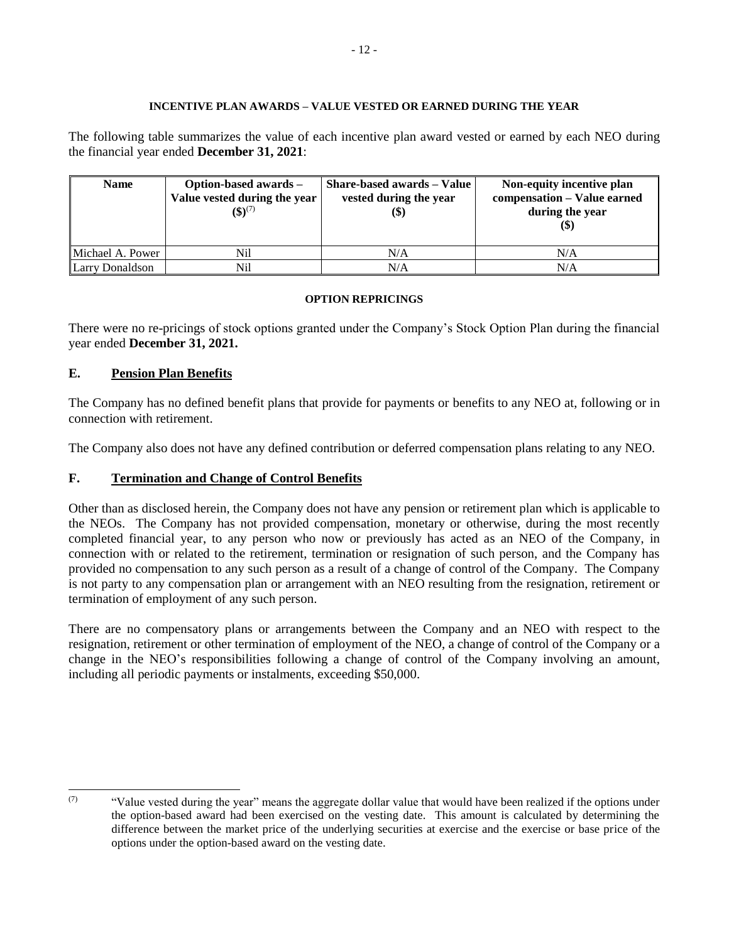### **INCENTIVE PLAN AWARDS – VALUE VESTED OR EARNED DURING THE YEAR**

The following table summarizes the value of each incentive plan award vested or earned by each NEO during the financial year ended **December 31, 2021**:

| <b>Name</b>      | Option-based awards -<br>Value vested during the year<br>$({\bf S})^{(7)}$ | <b>Share-based awards - Value</b><br>vested during the year | Non-equity incentive plan<br>compensation - Value earned<br>during the year |
|------------------|----------------------------------------------------------------------------|-------------------------------------------------------------|-----------------------------------------------------------------------------|
| Michael A. Power | Nil                                                                        | N/A                                                         | N/A                                                                         |
| Larry Donaldson  | Nil                                                                        | N/A                                                         | N/A                                                                         |

### **OPTION REPRICINGS**

There were no re-pricings of stock options granted under the Company's Stock Option Plan during the financial year ended **December 31, 2021.**

# **E. Pension Plan Benefits**

The Company has no defined benefit plans that provide for payments or benefits to any NEO at, following or in connection with retirement.

The Company also does not have any defined contribution or deferred compensation plans relating to any NEO.

## **F. Termination and Change of Control Benefits**

Other than as disclosed herein, the Company does not have any pension or retirement plan which is applicable to the NEOs. The Company has not provided compensation, monetary or otherwise, during the most recently completed financial year, to any person who now or previously has acted as an NEO of the Company, in connection with or related to the retirement, termination or resignation of such person, and the Company has provided no compensation to any such person as a result of a change of control of the Company. The Company is not party to any compensation plan or arrangement with an NEO resulting from the resignation, retirement or termination of employment of any such person.

There are no compensatory plans or arrangements between the Company and an NEO with respect to the resignation, retirement or other termination of employment of the NEO, a change of control of the Company or a change in the NEO's responsibilities following a change of control of the Company involving an amount, including all periodic payments or instalments, exceeding \$50,000.

 $\frac{1}{(7)}$ 

<sup>&</sup>quot;Value vested during the year" means the aggregate dollar value that would have been realized if the options under the option-based award had been exercised on the vesting date. This amount is calculated by determining the difference between the market price of the underlying securities at exercise and the exercise or base price of the options under the option-based award on the vesting date.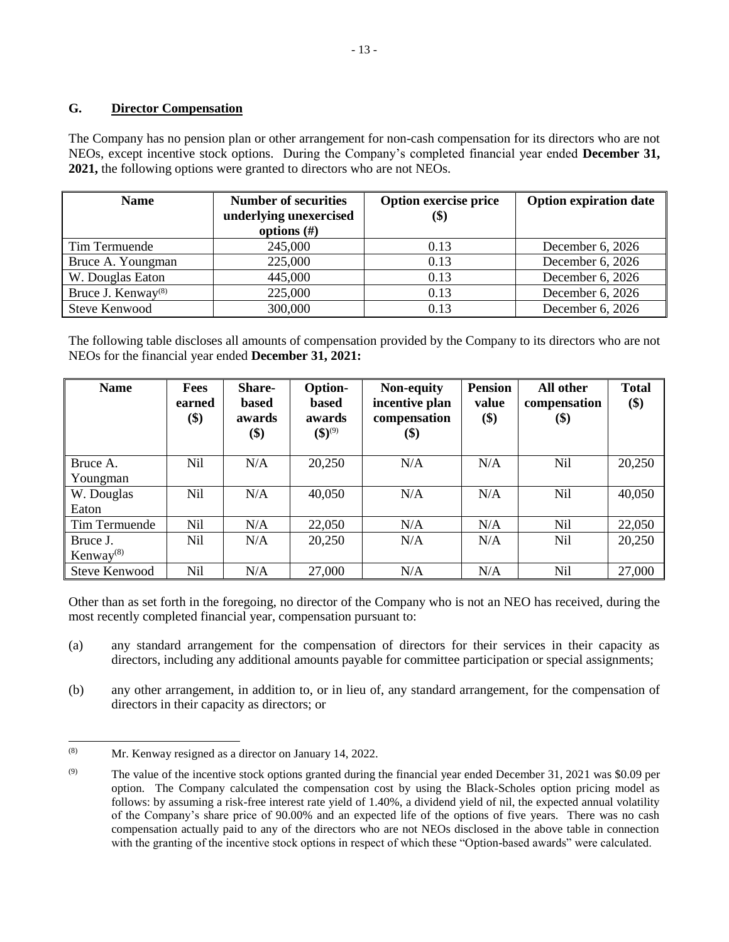## **G. Director Compensation**

The Company has no pension plan or other arrangement for non-cash compensation for its directors who are not NEOs, except incentive stock options. During the Company's completed financial year ended **December 31, 2021,** the following options were granted to directors who are not NEOs.

| <b>Name</b>                    | <b>Number of securities</b><br>underlying unexercised<br>options $(\#)$ | <b>Option exercise price</b><br>\$) | <b>Option expiration date</b> |
|--------------------------------|-------------------------------------------------------------------------|-------------------------------------|-------------------------------|
| Tim Termuende                  | 245,000                                                                 | 0.13                                | December 6, 2026              |
| Bruce A. Youngman              | 225,000                                                                 | 0.13                                | December 6, 2026              |
| W. Douglas Eaton               | 445,000                                                                 | 0.13                                | December 6, 2026              |
| Bruce J. Kenway <sup>(8)</sup> | 225,000                                                                 | 0.13                                | December 6, 2026              |
| Steve Kenwood                  | 300,000                                                                 | 0.13                                | December 6, 2026              |

<span id="page-12-0"></span>The following table discloses all amounts of compensation provided by the Company to its directors who are not NEOs for the financial year ended **December 31, 2021:**

| <b>Name</b>          | <b>Fees</b><br>earned<br>\$) | Share-<br><b>based</b><br>awards<br>\$) | Option-<br><b>based</b><br>awards<br>$({\$})^{(9)}$ | Non-equity<br>incentive plan<br>compensation<br>$\left( \text{\$}\right)$ | <b>Pension</b><br>value<br>\$) | All other<br>compensation<br>\$) | <b>Total</b><br>$($)$ |
|----------------------|------------------------------|-----------------------------------------|-----------------------------------------------------|---------------------------------------------------------------------------|--------------------------------|----------------------------------|-----------------------|
| Bruce A.             | Nil                          | N/A                                     | 20,250                                              | N/A                                                                       | N/A                            | N <sub>il</sub>                  | 20,250                |
| Youngman             |                              |                                         |                                                     |                                                                           |                                |                                  |                       |
| W. Douglas           | Nil                          | N/A                                     | 40,050                                              | N/A                                                                       | N/A                            | Nil                              | 40,050                |
| Eaton                |                              |                                         |                                                     |                                                                           |                                |                                  |                       |
| Tim Termuende        | <b>Nil</b>                   | N/A                                     | 22,050                                              | N/A                                                                       | N/A                            | Nil                              | 22,050                |
| Bruce J.             | Nil                          | N/A                                     | 20,250                                              | N/A                                                                       | N/A                            | Nil                              | 20,250                |
| $Kenway^{(8)}$       |                              |                                         |                                                     |                                                                           |                                |                                  |                       |
| <b>Steve Kenwood</b> | Nil                          | N/A                                     | 27,000                                              | N/A                                                                       | N/A                            | Nil                              | 27,000                |

Other than as set forth in the foregoing, no director of the Company who is not an NEO has received, during the most recently completed financial year, compensation pursuant to:

- (a) any standard arrangement for the compensation of directors for their services in their capacity as directors, including any additional amounts payable for committee participation or special assignments;
- (b) any other arrangement, in addition to, or in lieu of, any standard arrangement, for the compensation of directors in their capacity as directors; or

 $(8)$ Mr. Kenway resigned as a director on January 14, 2022.

 $(9)$  The value of the incentive stock options granted during the financial year ended December 31, 2021 was \$0.09 per option. The Company calculated the compensation cost by using the Black-Scholes option pricing model as follows: by assuming a risk-free interest rate yield of 1.40%, a dividend yield of nil, the expected annual volatility of the Company's share price of 90.00% and an expected life of the options of five years. There was no cash compensation actually paid to any of the directors who are not NEOs disclosed in the above table in connection with the granting of the incentive stock options in respect of which these "Option-based awards" were calculated.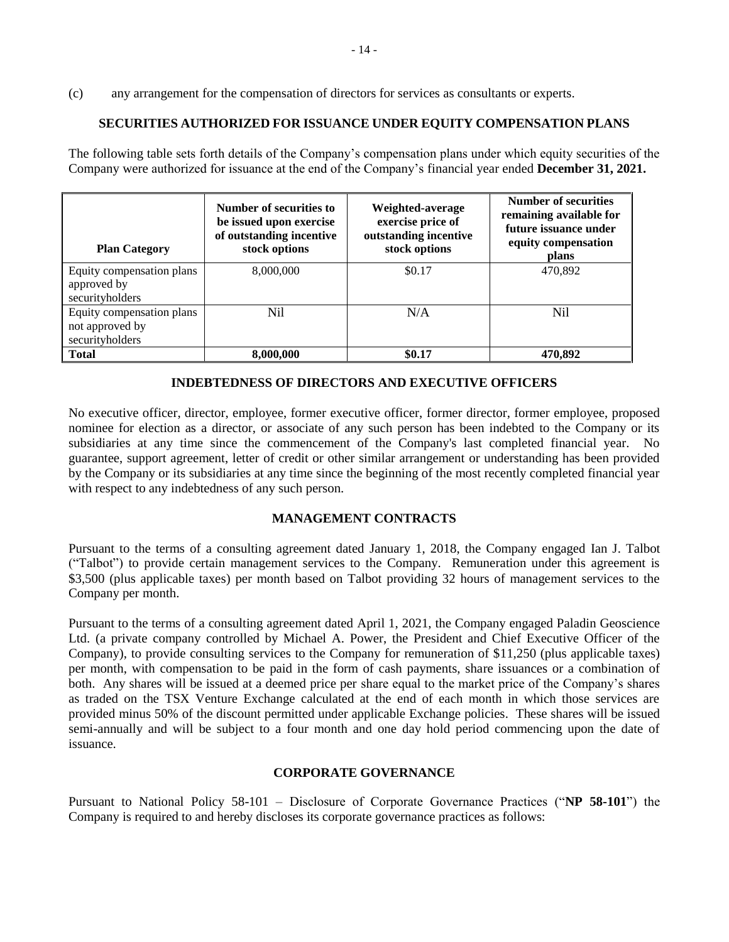## **SECURITIES AUTHORIZED FOR ISSUANCE UNDER EQUITY COMPENSATION PLANS**

The following table sets forth details of the Company's compensation plans under which equity securities of the Company were authorized for issuance at the end of the Company's financial year ended **December 31, 2021.**

| <b>Plan Category</b>                                            | Number of securities to<br>be issued upon exercise<br>of outstanding incentive<br>stock options | Weighted-average<br>exercise price of<br>outstanding incentive<br>stock options | <b>Number of securities</b><br>remaining available for<br>future issuance under<br>equity compensation<br>plans |
|-----------------------------------------------------------------|-------------------------------------------------------------------------------------------------|---------------------------------------------------------------------------------|-----------------------------------------------------------------------------------------------------------------|
| Equity compensation plans<br>approved by<br>securityholders     | 8,000,000                                                                                       | \$0.17                                                                          | 470,892                                                                                                         |
| Equity compensation plans<br>not approved by<br>securityholders | Nil                                                                                             | N/A                                                                             | Nil                                                                                                             |
| <b>Total</b>                                                    | 8,000,000                                                                                       | \$0.17                                                                          | 470.892                                                                                                         |

# **INDEBTEDNESS OF DIRECTORS AND EXECUTIVE OFFICERS**

No executive officer, director, employee, former executive officer, former director, former employee, proposed nominee for election as a director, or associate of any such person has been indebted to the Company or its subsidiaries at any time since the commencement of the Company's last completed financial year. No guarantee, support agreement, letter of credit or other similar arrangement or understanding has been provided by the Company or its subsidiaries at any time since the beginning of the most recently completed financial year with respect to any indebtedness of any such person.

## **MANAGEMENT CONTRACTS**

Pursuant to the terms of a consulting agreement dated January 1, 2018, the Company engaged Ian J. Talbot ("Talbot") to provide certain management services to the Company. Remuneration under this agreement is \$3,500 (plus applicable taxes) per month based on Talbot providing 32 hours of management services to the Company per month.

Pursuant to the terms of a consulting agreement dated April 1, 2021, the Company engaged Paladin Geoscience Ltd. (a private company controlled by Michael A. Power, the President and Chief Executive Officer of the Company), to provide consulting services to the Company for remuneration of \$11,250 (plus applicable taxes) per month, with compensation to be paid in the form of cash payments, share issuances or a combination of both. Any shares will be issued at a deemed price per share equal to the market price of the Company's shares as traded on the TSX Venture Exchange calculated at the end of each month in which those services are provided minus 50% of the discount permitted under applicable Exchange policies. These shares will be issued semi-annually and will be subject to a four month and one day hold period commencing upon the date of issuance.

# **CORPORATE GOVERNANCE**

Pursuant to National Policy 58-101 – Disclosure of Corporate Governance Practices ("**NP 58-101**") the Company is required to and hereby discloses its corporate governance practices as follows: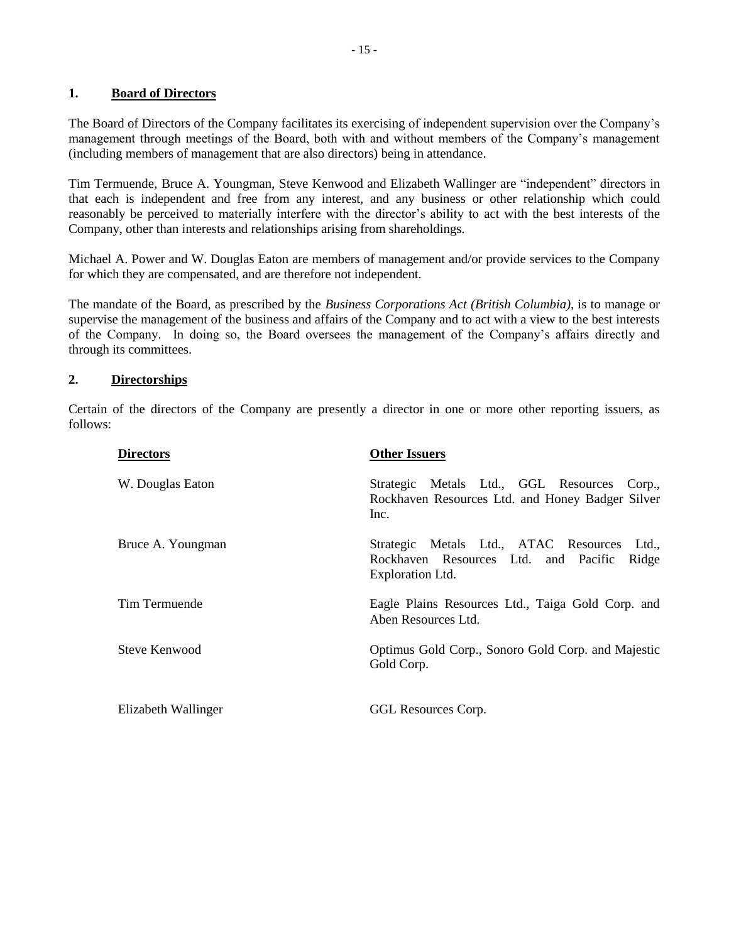### **1. Board of Directors**

The Board of Directors of the Company facilitates its exercising of independent supervision over the Company's management through meetings of the Board, both with and without members of the Company's management (including members of management that are also directors) being in attendance.

Tim Termuende, Bruce A. Youngman, Steve Kenwood and Elizabeth Wallinger are "independent" directors in that each is independent and free from any interest, and any business or other relationship which could reasonably be perceived to materially interfere with the director's ability to act with the best interests of the Company, other than interests and relationships arising from shareholdings.

Michael A. Power and W. Douglas Eaton are members of management and/or provide services to the Company for which they are compensated, and are therefore not independent.

The mandate of the Board, as prescribed by the *Business Corporations Act (British Columbia)*, is to manage or supervise the management of the business and affairs of the Company and to act with a view to the best interests of the Company. In doing so, the Board oversees the management of the Company's affairs directly and through its committees.

### **2. Directorships**

Certain of the directors of the Company are presently a director in one or more other reporting issuers, as follows:

| <b>Directors</b>    | <b>Other Issuers</b>                                                                                                |
|---------------------|---------------------------------------------------------------------------------------------------------------------|
| W. Douglas Eaton    | Strategic Metals Ltd., GGL Resources<br>Corp.,<br>Rockhaven Resources Ltd. and Honey Badger Silver<br>Inc.          |
| Bruce A. Youngman   | Strategic Metals Ltd., ATAC Resources<br>Ltd.,<br>Rockhaven Resources Ltd. and Pacific<br>Ridge<br>Exploration Ltd. |
| Tim Termuende       | Eagle Plains Resources Ltd., Taiga Gold Corp. and<br>Aben Resources Ltd.                                            |
| Steve Kenwood       | Optimus Gold Corp., Sonoro Gold Corp. and Majestic<br>Gold Corp.                                                    |
| Elizabeth Wallinger | GGL Resources Corp.                                                                                                 |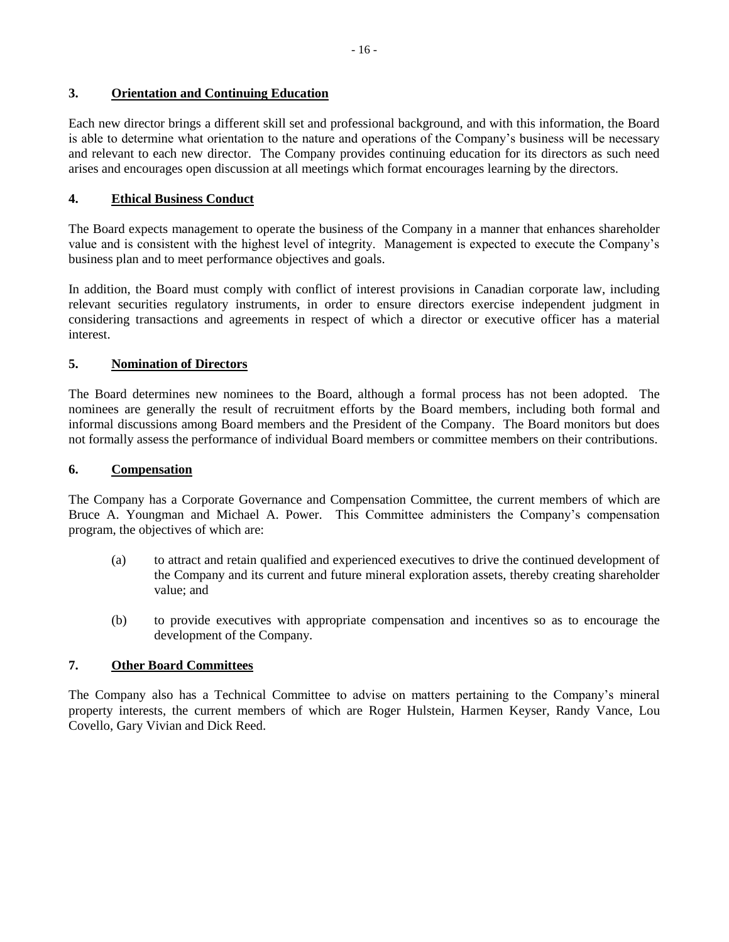### **3. Orientation and Continuing Education**

Each new director brings a different skill set and professional background, and with this information, the Board is able to determine what orientation to the nature and operations of the Company's business will be necessary and relevant to each new director. The Company provides continuing education for its directors as such need arises and encourages open discussion at all meetings which format encourages learning by the directors.

# **4. Ethical Business Conduct**

The Board expects management to operate the business of the Company in a manner that enhances shareholder value and is consistent with the highest level of integrity. Management is expected to execute the Company's business plan and to meet performance objectives and goals.

In addition, the Board must comply with conflict of interest provisions in Canadian corporate law, including relevant securities regulatory instruments, in order to ensure directors exercise independent judgment in considering transactions and agreements in respect of which a director or executive officer has a material interest.

# **5. Nomination of Directors**

The Board determines new nominees to the Board, although a formal process has not been adopted. The nominees are generally the result of recruitment efforts by the Board members, including both formal and informal discussions among Board members and the President of the Company. The Board monitors but does not formally assess the performance of individual Board members or committee members on their contributions.

### **6. Compensation**

The Company has a Corporate Governance and Compensation Committee, the current members of which are Bruce A. Youngman and Michael A. Power. This Committee administers the Company's compensation program, the objectives of which are:

- (a) to attract and retain qualified and experienced executives to drive the continued development of the Company and its current and future mineral exploration assets, thereby creating shareholder value; and
- (b) to provide executives with appropriate compensation and incentives so as to encourage the development of the Company.

### **7. Other Board Committees**

The Company also has a Technical Committee to advise on matters pertaining to the Company's mineral property interests, the current members of which are Roger Hulstein, Harmen Keyser, Randy Vance, Lou Covello, Gary Vivian and Dick Reed.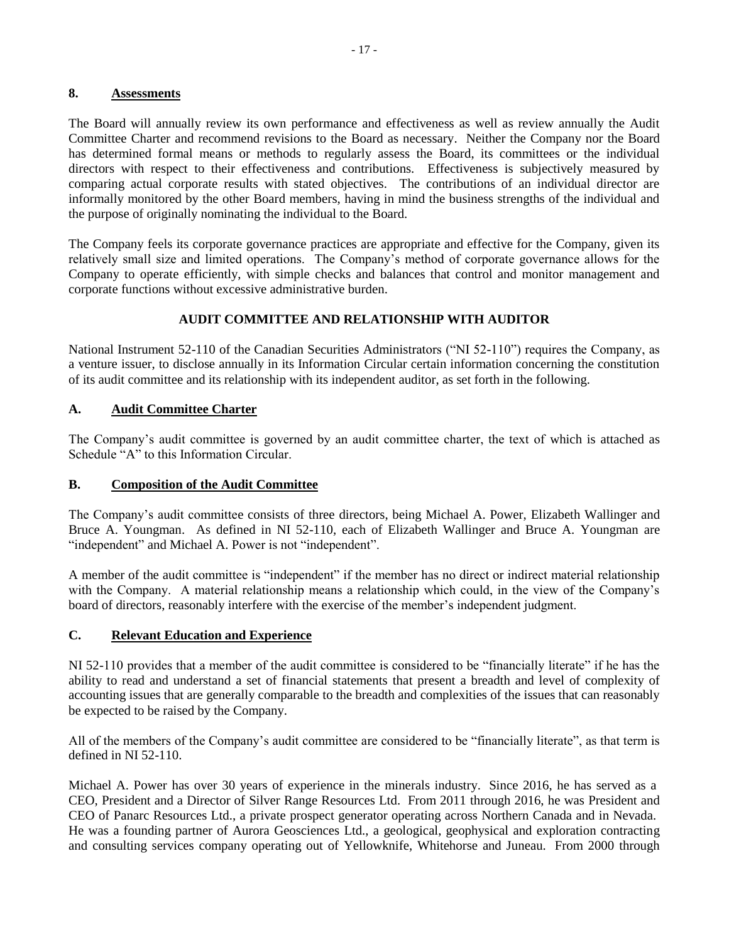### **8. Assessments**

The Board will annually review its own performance and effectiveness as well as review annually the Audit Committee Charter and recommend revisions to the Board as necessary. Neither the Company nor the Board has determined formal means or methods to regularly assess the Board, its committees or the individual directors with respect to their effectiveness and contributions. Effectiveness is subjectively measured by comparing actual corporate results with stated objectives. The contributions of an individual director are informally monitored by the other Board members, having in mind the business strengths of the individual and the purpose of originally nominating the individual to the Board.

The Company feels its corporate governance practices are appropriate and effective for the Company, given its relatively small size and limited operations. The Company's method of corporate governance allows for the Company to operate efficiently, with simple checks and balances that control and monitor management and corporate functions without excessive administrative burden.

### **AUDIT COMMITTEE AND RELATIONSHIP WITH AUDITOR**

National Instrument 52-110 of the Canadian Securities Administrators ("NI 52-110") requires the Company, as a venture issuer, to disclose annually in its Information Circular certain information concerning the constitution of its audit committee and its relationship with its independent auditor, as set forth in the following.

## **A. Audit Committee Charter**

The Company's audit committee is governed by an audit committee charter, the text of which is attached as Schedule "A" to this Information Circular.

### **B. Composition of the Audit Committee**

The Company's audit committee consists of three directors, being Michael A. Power, Elizabeth Wallinger and Bruce A. Youngman. As defined in NI 52-110, each of Elizabeth Wallinger and Bruce A. Youngman are "independent" and Michael A. Power is not "independent".

A member of the audit committee is "independent" if the member has no direct or indirect material relationship with the Company. A material relationship means a relationship which could, in the view of the Company's board of directors, reasonably interfere with the exercise of the member's independent judgment.

### **C. Relevant Education and Experience**

NI 52-110 provides that a member of the audit committee is considered to be "financially literate" if he has the ability to read and understand a set of financial statements that present a breadth and level of complexity of accounting issues that are generally comparable to the breadth and complexities of the issues that can reasonably be expected to be raised by the Company.

All of the members of the Company's audit committee are considered to be "financially literate", as that term is defined in NI 52-110.

Michael A. Power has over 30 years of experience in the minerals industry. Since 2016, he has served as a CEO, President and a Director of Silver Range Resources Ltd. From 2011 through 2016, he was President and CEO of Panarc Resources Ltd., a private prospect generator operating across Northern Canada and in Nevada. He was a founding partner of Aurora Geosciences Ltd., a geological, geophysical and exploration contracting and consulting services company operating out of Yellowknife, Whitehorse and Juneau. From 2000 through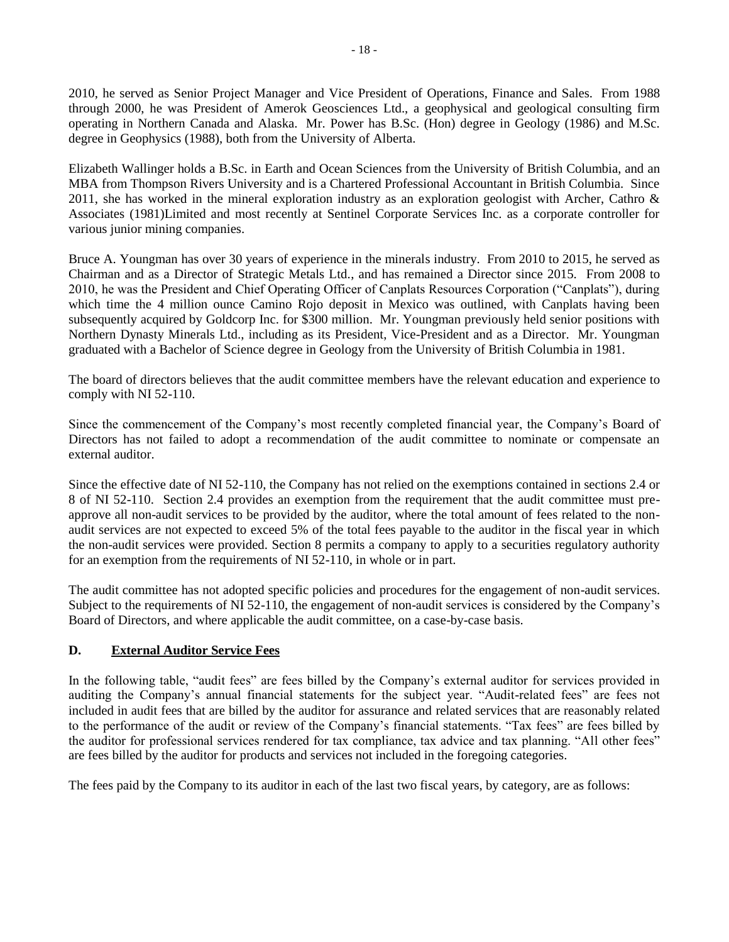2010, he served as Senior Project Manager and Vice President of Operations, Finance and Sales. From 1988 through 2000, he was President of Amerok Geosciences Ltd., a geophysical and geological consulting firm operating in Northern Canada and Alaska. Mr. Power has B.Sc. (Hon) degree in Geology (1986) and M.Sc. degree in Geophysics (1988), both from the University of Alberta.

Elizabeth Wallinger holds a B.Sc. in Earth and Ocean Sciences from the University of British Columbia, and an MBA from Thompson Rivers University and is a Chartered Professional Accountant in British Columbia. Since 2011, she has worked in the mineral exploration industry as an exploration geologist with Archer, Cathro & Associates (1981)Limited and most recently at Sentinel Corporate Services Inc. as a corporate controller for various junior mining companies.

Bruce A. Youngman has over 30 years of experience in the minerals industry. From 2010 to 2015, he served as Chairman and as a Director of Strategic Metals Ltd., and has remained a Director since 2015. From 2008 to 2010, he was the President and Chief Operating Officer of Canplats Resources Corporation ("Canplats"), during which time the 4 million ounce Camino Rojo deposit in Mexico was outlined, with Canplats having been subsequently acquired by Goldcorp Inc. for \$300 million. Mr. Youngman previously held senior positions with Northern Dynasty Minerals Ltd., including as its President, Vice-President and as a Director. Mr. Youngman graduated with a Bachelor of Science degree in Geology from the University of British Columbia in 1981.

The board of directors believes that the audit committee members have the relevant education and experience to comply with NI 52-110.

Since the commencement of the Company's most recently completed financial year, the Company's Board of Directors has not failed to adopt a recommendation of the audit committee to nominate or compensate an external auditor.

Since the effective date of NI 52-110, the Company has not relied on the exemptions contained in sections 2.4 or 8 of NI 52-110. Section 2.4 provides an exemption from the requirement that the audit committee must preapprove all non-audit services to be provided by the auditor, where the total amount of fees related to the nonaudit services are not expected to exceed 5% of the total fees payable to the auditor in the fiscal year in which the non-audit services were provided. Section 8 permits a company to apply to a securities regulatory authority for an exemption from the requirements of NI 52-110, in whole or in part.

The audit committee has not adopted specific policies and procedures for the engagement of non-audit services. Subject to the requirements of NI 52-110, the engagement of non-audit services is considered by the Company's Board of Directors, and where applicable the audit committee, on a case-by-case basis.

# **D. External Auditor Service Fees**

In the following table, "audit fees" are fees billed by the Company's external auditor for services provided in auditing the Company's annual financial statements for the subject year. "Audit-related fees" are fees not included in audit fees that are billed by the auditor for assurance and related services that are reasonably related to the performance of the audit or review of the Company's financial statements. "Tax fees" are fees billed by the auditor for professional services rendered for tax compliance, tax advice and tax planning. "All other fees" are fees billed by the auditor for products and services not included in the foregoing categories.

The fees paid by the Company to its auditor in each of the last two fiscal years, by category, are as follows: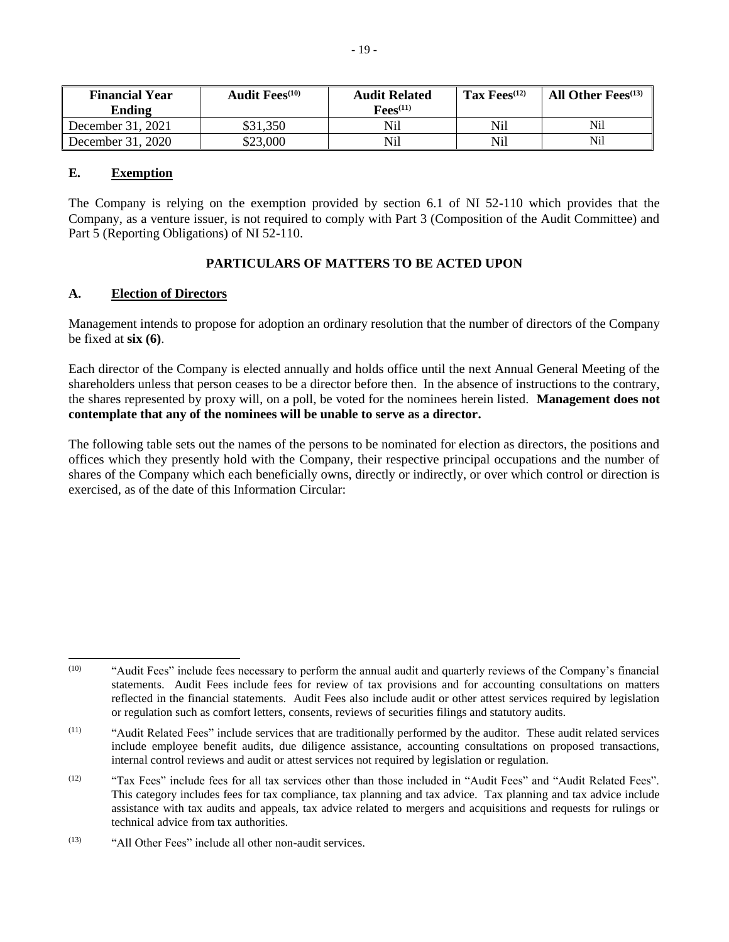| <b>Financial Year</b><br>Ending | <b>Audit Fees</b> <sup>(10)</sup> | <b>Audit Related</b><br>$\text{Fees}^{(11)}$ | Tax $Fees^{(12)}$ | All Other Fees <sup>(13)</sup> |
|---------------------------------|-----------------------------------|----------------------------------------------|-------------------|--------------------------------|
| December 31, 2021               | \$31,350                          | Nil                                          | Nil               | Nil                            |
| December 31, 2020               | \$23,000                          | Nil                                          | Nil               | Nil                            |

### **E. Exemption**

The Company is relying on the exemption provided by section 6.1 of NI 52-110 which provides that the Company, as a venture issuer, is not required to comply with Part 3 (Composition of the Audit Committee) and Part 5 (Reporting Obligations) of NI 52-110.

# **PARTICULARS OF MATTERS TO BE ACTED UPON**

### **A. Election of Directors**

Management intends to propose for adoption an ordinary resolution that the number of directors of the Company be fixed at **six (6)**.

Each director of the Company is elected annually and holds office until the next Annual General Meeting of the shareholders unless that person ceases to be a director before then. In the absence of instructions to the contrary, the shares represented by proxy will, on a poll, be voted for the nominees herein listed. **Management does not contemplate that any of the nominees will be unable to serve as a director.**

The following table sets out the names of the persons to be nominated for election as directors, the positions and offices which they presently hold with the Company, their respective principal occupations and the number of shares of the Company which each beneficially owns, directly or indirectly, or over which control or direction is exercised, as of the date of this Information Circular:

l (10) "Audit Fees" include fees necessary to perform the annual audit and quarterly reviews of the Company's financial statements. Audit Fees include fees for review of tax provisions and for accounting consultations on matters reflected in the financial statements. Audit Fees also include audit or other attest services required by legislation or regulation such as comfort letters, consents, reviews of securities filings and statutory audits.

<sup>(11)</sup> "Audit Related Fees" include services that are traditionally performed by the auditor. These audit related services include employee benefit audits, due diligence assistance, accounting consultations on proposed transactions, internal control reviews and audit or attest services not required by legislation or regulation.

 $(12)$ "Tax Fees" include fees for all tax services other than those included in "Audit Fees" and "Audit Related Fees". This category includes fees for tax compliance, tax planning and tax advice. Tax planning and tax advice include assistance with tax audits and appeals, tax advice related to mergers and acquisitions and requests for rulings or technical advice from tax authorities.

<sup>(13)</sup> "All Other Fees" include all other non-audit services.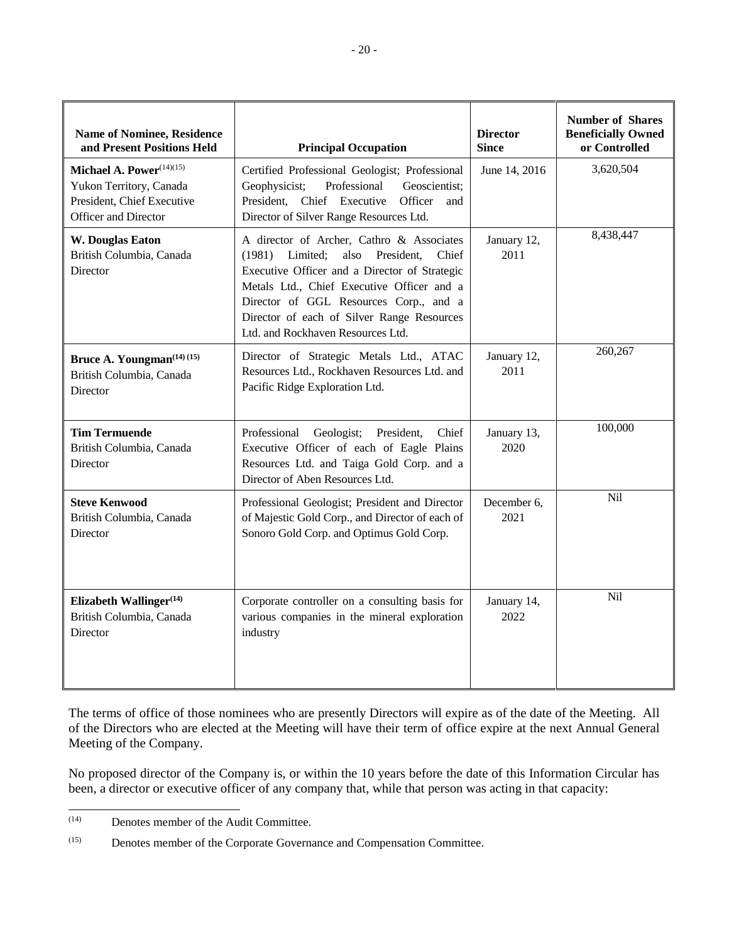<span id="page-19-1"></span><span id="page-19-0"></span>

| <b>Name of Nominee, Residence</b><br>and Present Positions Held                                                       | <b>Principal Occupation</b>                                                                                                                                                                                                                                                                                               | <b>Director</b><br><b>Since</b> | <b>Number of Shares</b><br><b>Beneficially Owned</b><br>or Controlled |
|-----------------------------------------------------------------------------------------------------------------------|---------------------------------------------------------------------------------------------------------------------------------------------------------------------------------------------------------------------------------------------------------------------------------------------------------------------------|---------------------------------|-----------------------------------------------------------------------|
| Michael A. Power <sup>(14)(15)</sup><br>Yukon Territory, Canada<br>President, Chief Executive<br>Officer and Director | Certified Professional Geologist; Professional<br>Professional<br>Geophysicist;<br>Geoscientist;<br>President, Chief Executive<br>Officer<br>and<br>Director of Silver Range Resources Ltd.                                                                                                                               | June 14, 2016                   | 3,620,504                                                             |
| W. Douglas Eaton<br>British Columbia, Canada<br>Director                                                              | A director of Archer, Cathro & Associates<br>$(1981)$ Limited;<br>also<br>President.<br>Chief<br>Executive Officer and a Director of Strategic<br>Metals Ltd., Chief Executive Officer and a<br>Director of GGL Resources Corp., and a<br>Director of each of Silver Range Resources<br>Ltd. and Rockhaven Resources Ltd. | January 12,<br>2011             | 8,438,447                                                             |
| Bruce A. Youngman <sup>(14)(15)</sup><br>British Columbia, Canada<br>Director                                         | Director of Strategic Metals Ltd., ATAC<br>Resources Ltd., Rockhaven Resources Ltd. and<br>Pacific Ridge Exploration Ltd.                                                                                                                                                                                                 | January 12,<br>2011             | 260,267                                                               |
| <b>Tim Termuende</b><br>British Columbia, Canada<br>Director                                                          | President,<br>Chief<br>Professional<br>Geologist;<br>Executive Officer of each of Eagle Plains<br>Resources Ltd. and Taiga Gold Corp. and a<br>Director of Aben Resources Ltd.                                                                                                                                            | January 13,<br>2020             | 100,000                                                               |
| <b>Steve Kenwood</b><br>British Columbia, Canada<br>Director                                                          | Professional Geologist; President and Director<br>of Majestic Gold Corp., and Director of each of<br>Sonoro Gold Corp. and Optimus Gold Corp.                                                                                                                                                                             | December 6,<br>2021             | Nil                                                                   |
| Elizabeth Wallinger $(14)$<br>British Columbia, Canada<br>Director                                                    | Corporate controller on a consulting basis for<br>various companies in the mineral exploration<br>industry                                                                                                                                                                                                                | January 14,<br>2022             | Nil                                                                   |

The terms of office of those nominees who are presently Directors will expire as of the date of the Meeting. All of the Directors who are elected at the Meeting will have their term of office expire at the next Annual General Meeting of the Company.

No proposed director of the Company is, or within the 10 years before the date of this Information Circular has been, a director or executive officer of any company that, while that person was acting in that capacity:

 $(14)$ Denotes member of the Audit Committee.

<sup>(15)</sup> Denotes member of the Corporate Governance and Compensation Committee.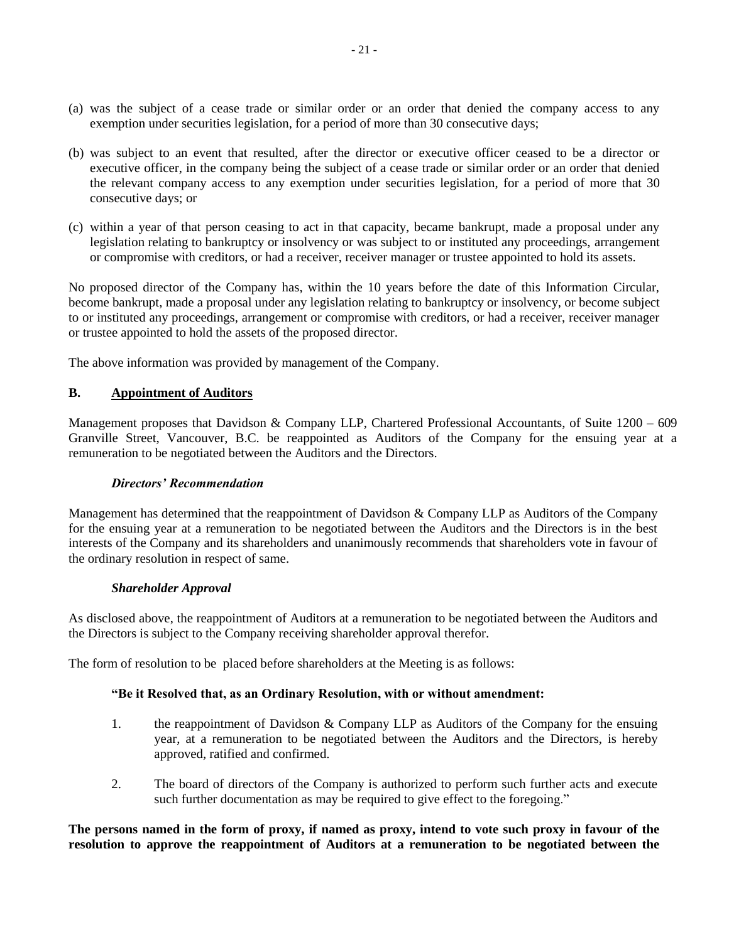- (a) was the subject of a cease trade or similar order or an order that denied the company access to any exemption under securities legislation, for a period of more than 30 consecutive days;
- (b) was subject to an event that resulted, after the director or executive officer ceased to be a director or executive officer, in the company being the subject of a cease trade or similar order or an order that denied the relevant company access to any exemption under securities legislation, for a period of more that 30 consecutive days; or
- (c) within a year of that person ceasing to act in that capacity, became bankrupt, made a proposal under any legislation relating to bankruptcy or insolvency or was subject to or instituted any proceedings, arrangement or compromise with creditors, or had a receiver, receiver manager or trustee appointed to hold its assets.

No proposed director of the Company has, within the 10 years before the date of this Information Circular, become bankrupt, made a proposal under any legislation relating to bankruptcy or insolvency, or become subject to or instituted any proceedings, arrangement or compromise with creditors, or had a receiver, receiver manager or trustee appointed to hold the assets of the proposed director.

The above information was provided by management of the Company.

## **B. Appointment of Auditors**

Management proposes that Davidson & Company LLP, Chartered Professional Accountants, of Suite 1200 – 609 Granville Street, Vancouver, B.C. be reappointed as Auditors of the Company for the ensuing year at a remuneration to be negotiated between the Auditors and the Directors.

### *Directors' Recommendation*

Management has determined that the reappointment of Davidson & Company LLP as Auditors of the Company for the ensuing year at a remuneration to be negotiated between the Auditors and the Directors is in the best interests of the Company and its shareholders and unanimously recommends that shareholders vote in favour of the ordinary resolution in respect of same.

### *Shareholder Approval*

As disclosed above, the reappointment of Auditors at a remuneration to be negotiated between the Auditors and the Directors is subject to the Company receiving shareholder approval therefor.

The form of resolution to be placed before shareholders at the Meeting is as follows:

### **"Be it Resolved that, as an Ordinary Resolution, with or without amendment:**

- 1. the reappointment of Davidson & Company LLP as Auditors of the Company for the ensuing year, at a remuneration to be negotiated between the Auditors and the Directors, is hereby approved, ratified and confirmed.
- 2. The board of directors of the Company is authorized to perform such further acts and execute such further documentation as may be required to give effect to the foregoing."

**The persons named in the form of proxy, if named as proxy, intend to vote such proxy in favour of the resolution to approve the reappointment of Auditors at a remuneration to be negotiated between the**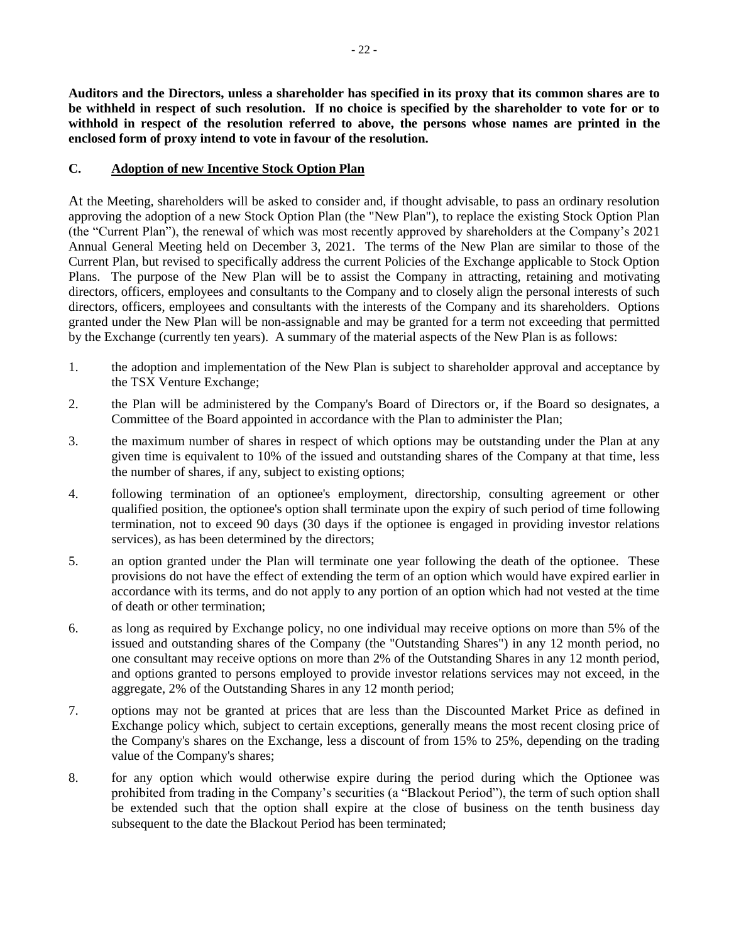**Auditors and the Directors, unless a shareholder has specified in its proxy that its common shares are to be withheld in respect of such resolution. If no choice is specified by the shareholder to vote for or to withhold in respect of the resolution referred to above, the persons whose names are printed in the enclosed form of proxy intend to vote in favour of the resolution.**

## **C. Adoption of new Incentive Stock Option Plan**

At the Meeting, shareholders will be asked to consider and, if thought advisable, to pass an ordinary resolution approving the adoption of a new Stock Option Plan (the "New Plan"), to replace the existing Stock Option Plan (the "Current Plan"), the renewal of which was most recently approved by shareholders at the Company's 2021 Annual General Meeting held on December 3, 2021. The terms of the New Plan are similar to those of the Current Plan, but revised to specifically address the current Policies of the Exchange applicable to Stock Option Plans. The purpose of the New Plan will be to assist the Company in attracting, retaining and motivating directors, officers, employees and consultants to the Company and to closely align the personal interests of such directors, officers, employees and consultants with the interests of the Company and its shareholders. Options granted under the New Plan will be non-assignable and may be granted for a term not exceeding that permitted by the Exchange (currently ten years). A summary of the material aspects of the New Plan is as follows:

- 1. the adoption and implementation of the New Plan is subject to shareholder approval and acceptance by the TSX Venture Exchange;
- 2. the Plan will be administered by the Company's Board of Directors or, if the Board so designates, a Committee of the Board appointed in accordance with the Plan to administer the Plan;
- 3. the maximum number of shares in respect of which options may be outstanding under the Plan at any given time is equivalent to 10% of the issued and outstanding shares of the Company at that time, less the number of shares, if any, subject to existing options;
- 4. following termination of an optionee's employment, directorship, consulting agreement or other qualified position, the optionee's option shall terminate upon the expiry of such period of time following termination, not to exceed 90 days (30 days if the optionee is engaged in providing investor relations services), as has been determined by the directors;
- 5. an option granted under the Plan will terminate one year following the death of the optionee. These provisions do not have the effect of extending the term of an option which would have expired earlier in accordance with its terms, and do not apply to any portion of an option which had not vested at the time of death or other termination;
- 6. as long as required by Exchange policy, no one individual may receive options on more than 5% of the issued and outstanding shares of the Company (the "Outstanding Shares") in any 12 month period, no one consultant may receive options on more than 2% of the Outstanding Shares in any 12 month period, and options granted to persons employed to provide investor relations services may not exceed, in the aggregate, 2% of the Outstanding Shares in any 12 month period;
- 7. options may not be granted at prices that are less than the Discounted Market Price as defined in Exchange policy which, subject to certain exceptions, generally means the most recent closing price of the Company's shares on the Exchange, less a discount of from 15% to 25%, depending on the trading value of the Company's shares;
- 8. for any option which would otherwise expire during the period during which the Optionee was prohibited from trading in the Company's securities (a "Blackout Period"), the term of such option shall be extended such that the option shall expire at the close of business on the tenth business day subsequent to the date the Blackout Period has been terminated;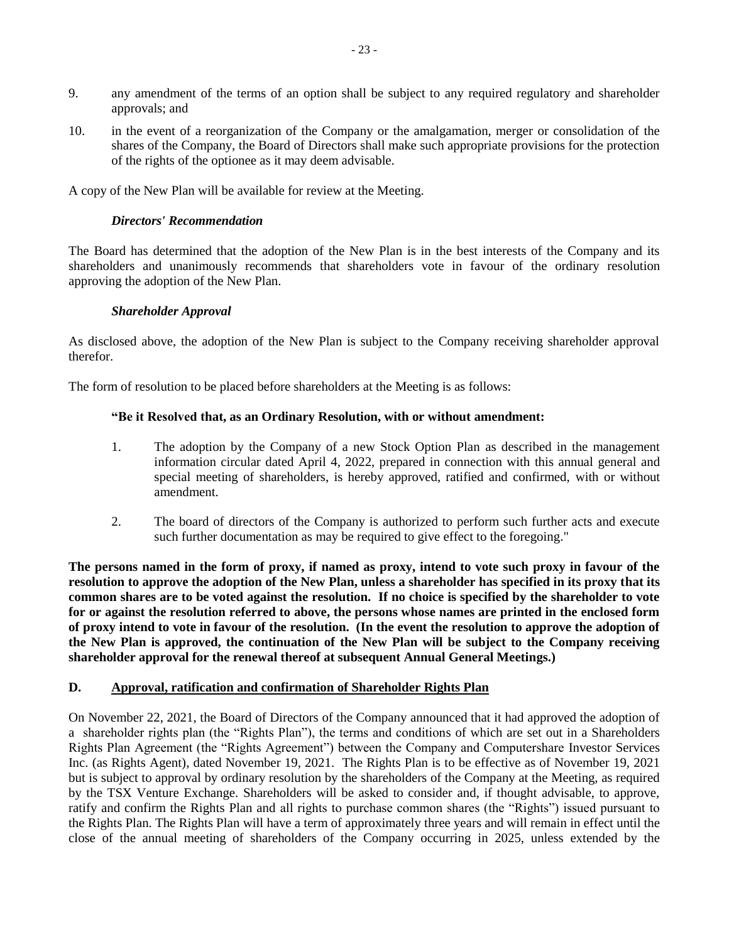- 9. any amendment of the terms of an option shall be subject to any required regulatory and shareholder approvals; and
- 10. in the event of a reorganization of the Company or the amalgamation, merger or consolidation of the shares of the Company, the Board of Directors shall make such appropriate provisions for the protection of the rights of the optionee as it may deem advisable.

A copy of the New Plan will be available for review at the Meeting.

#### *Directors' Recommendation*

The Board has determined that the adoption of the New Plan is in the best interests of the Company and its shareholders and unanimously recommends that shareholders vote in favour of the ordinary resolution approving the adoption of the New Plan.

#### *Shareholder Approval*

As disclosed above, the adoption of the New Plan is subject to the Company receiving shareholder approval therefor.

The form of resolution to be placed before shareholders at the Meeting is as follows:

#### **"Be it Resolved that, as an Ordinary Resolution, with or without amendment:**

- 1. The adoption by the Company of a new Stock Option Plan as described in the management information circular dated April 4, 2022, prepared in connection with this annual general and special meeting of shareholders, is hereby approved, ratified and confirmed, with or without amendment.
- 2. The board of directors of the Company is authorized to perform such further acts and execute such further documentation as may be required to give effect to the foregoing."

**The persons named in the form of proxy, if named as proxy, intend to vote such proxy in favour of the resolution to approve the adoption of the New Plan, unless a shareholder has specified in its proxy that its common shares are to be voted against the resolution. If no choice is specified by the shareholder to vote for or against the resolution referred to above, the persons whose names are printed in the enclosed form of proxy intend to vote in favour of the resolution. (In the event the resolution to approve the adoption of the New Plan is approved, the continuation of the New Plan will be subject to the Company receiving shareholder approval for the renewal thereof at subsequent Annual General Meetings.)**

### **D. Approval, ratification and confirmation of Shareholder Rights Plan**

On November 22, 2021, the Board of Directors of the Company announced that it had approved the adoption of a shareholder rights plan (the "Rights Plan"), the terms and conditions of which are set out in a Shareholders Rights Plan Agreement (the "Rights Agreement") between the Company and Computershare Investor Services Inc. (as Rights Agent), dated November 19, 2021. The Rights Plan is to be effective as of November 19, 2021 but is subject to approval by ordinary resolution by the shareholders of the Company at the Meeting, as required by the TSX Venture Exchange. Shareholders will be asked to consider and, if thought advisable, to approve, ratify and confirm the Rights Plan and all rights to purchase common shares (the "Rights") issued pursuant to the Rights Plan. The Rights Plan will have a term of approximately three years and will remain in effect until the close of the annual meeting of shareholders of the Company occurring in 2025, unless extended by the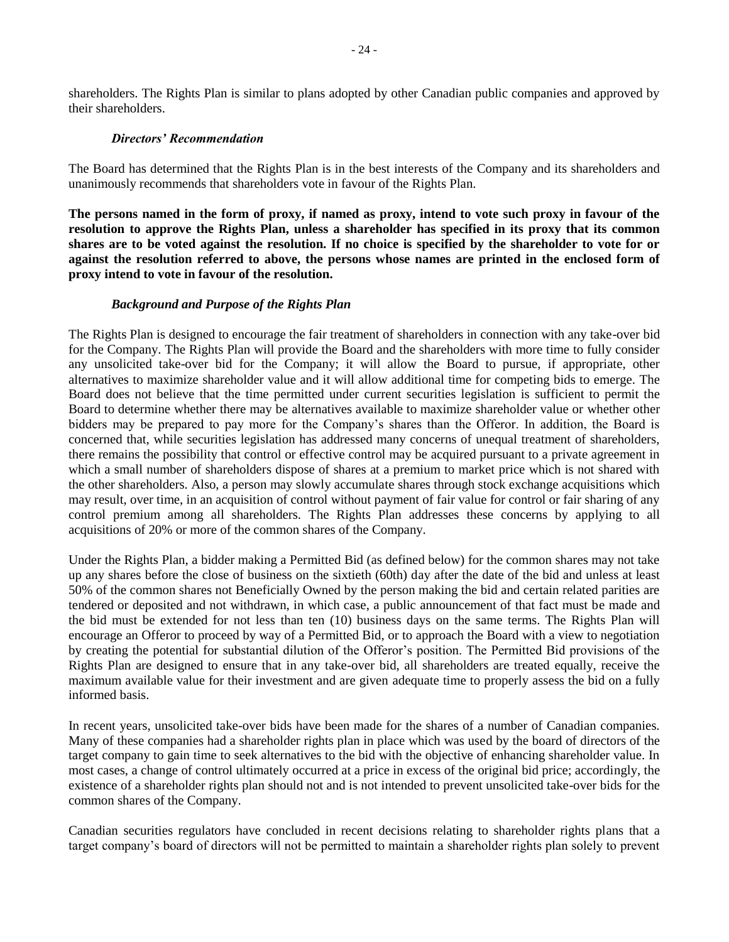shareholders. The Rights Plan is similar to plans adopted by other Canadian public companies and approved by their shareholders.

#### *Directors' Recommendation*

The Board has determined that the Rights Plan is in the best interests of the Company and its shareholders and unanimously recommends that shareholders vote in favour of the Rights Plan.

**The persons named in the form of proxy, if named as proxy, intend to vote such proxy in favour of the resolution to approve the Rights Plan, unless a shareholder has specified in its proxy that its common shares are to be voted against the resolution. If no choice is specified by the shareholder to vote for or against the resolution referred to above, the persons whose names are printed in the enclosed form of proxy intend to vote in favour of the resolution.** 

#### *Background and Purpose of the Rights Plan*

The Rights Plan is designed to encourage the fair treatment of shareholders in connection with any take-over bid for the Company. The Rights Plan will provide the Board and the shareholders with more time to fully consider any unsolicited take-over bid for the Company; it will allow the Board to pursue, if appropriate, other alternatives to maximize shareholder value and it will allow additional time for competing bids to emerge. The Board does not believe that the time permitted under current securities legislation is sufficient to permit the Board to determine whether there may be alternatives available to maximize shareholder value or whether other bidders may be prepared to pay more for the Company's shares than the Offeror. In addition, the Board is concerned that, while securities legislation has addressed many concerns of unequal treatment of shareholders, there remains the possibility that control or effective control may be acquired pursuant to a private agreement in which a small number of shareholders dispose of shares at a premium to market price which is not shared with the other shareholders. Also, a person may slowly accumulate shares through stock exchange acquisitions which may result, over time, in an acquisition of control without payment of fair value for control or fair sharing of any control premium among all shareholders. The Rights Plan addresses these concerns by applying to all acquisitions of 20% or more of the common shares of the Company.

Under the Rights Plan, a bidder making a Permitted Bid (as defined below) for the common shares may not take up any shares before the close of business on the sixtieth (60th) day after the date of the bid and unless at least 50% of the common shares not Beneficially Owned by the person making the bid and certain related parities are tendered or deposited and not withdrawn, in which case, a public announcement of that fact must be made and the bid must be extended for not less than ten (10) business days on the same terms. The Rights Plan will encourage an Offeror to proceed by way of a Permitted Bid, or to approach the Board with a view to negotiation by creating the potential for substantial dilution of the Offeror's position. The Permitted Bid provisions of the Rights Plan are designed to ensure that in any take-over bid, all shareholders are treated equally, receive the maximum available value for their investment and are given adequate time to properly assess the bid on a fully informed basis.

In recent years, unsolicited take-over bids have been made for the shares of a number of Canadian companies. Many of these companies had a shareholder rights plan in place which was used by the board of directors of the target company to gain time to seek alternatives to the bid with the objective of enhancing shareholder value. In most cases, a change of control ultimately occurred at a price in excess of the original bid price; accordingly, the existence of a shareholder rights plan should not and is not intended to prevent unsolicited take-over bids for the common shares of the Company.

Canadian securities regulators have concluded in recent decisions relating to shareholder rights plans that a target company's board of directors will not be permitted to maintain a shareholder rights plan solely to prevent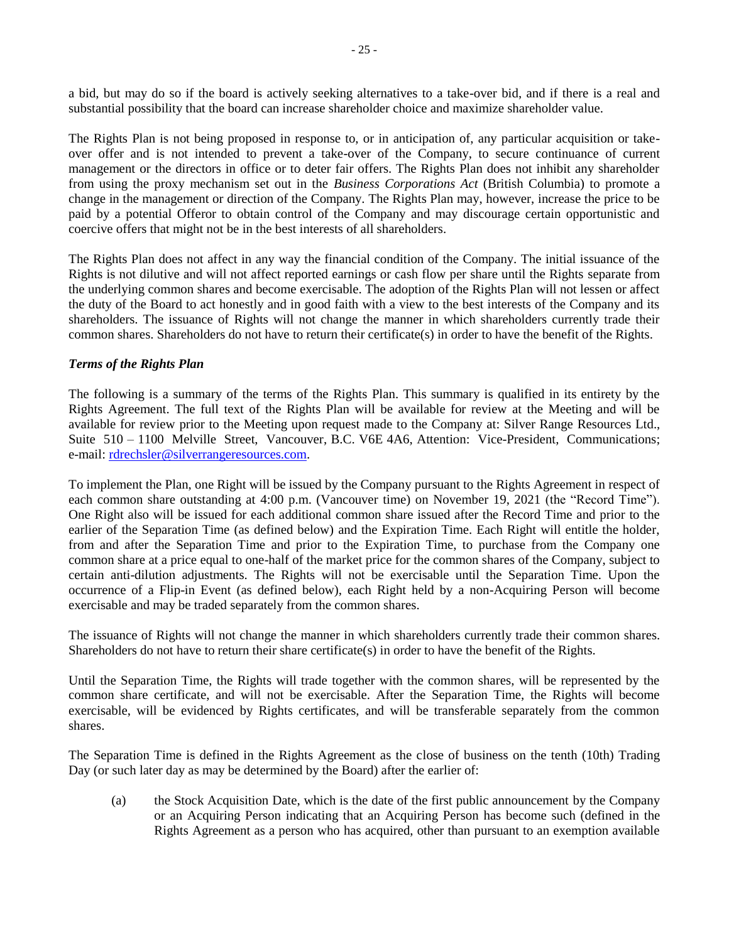a bid, but may do so if the board is actively seeking alternatives to a take-over bid, and if there is a real and substantial possibility that the board can increase shareholder choice and maximize shareholder value.

The Rights Plan is not being proposed in response to, or in anticipation of, any particular acquisition or takeover offer and is not intended to prevent a take-over of the Company, to secure continuance of current management or the directors in office or to deter fair offers. The Rights Plan does not inhibit any shareholder from using the proxy mechanism set out in the *Business Corporations Act* (British Columbia) to promote a change in the management or direction of the Company. The Rights Plan may, however, increase the price to be paid by a potential Offeror to obtain control of the Company and may discourage certain opportunistic and coercive offers that might not be in the best interests of all shareholders.

The Rights Plan does not affect in any way the financial condition of the Company. The initial issuance of the Rights is not dilutive and will not affect reported earnings or cash flow per share until the Rights separate from the underlying common shares and become exercisable. The adoption of the Rights Plan will not lessen or affect the duty of the Board to act honestly and in good faith with a view to the best interests of the Company and its shareholders. The issuance of Rights will not change the manner in which shareholders currently trade their common shares. Shareholders do not have to return their certificate(s) in order to have the benefit of the Rights.

### *Terms of the Rights Plan*

The following is a summary of the terms of the Rights Plan. This summary is qualified in its entirety by the Rights Agreement. The full text of the Rights Plan will be available for review at the Meeting and will be available for review prior to the Meeting upon request made to the Company at: Silver Range Resources Ltd., Suite 510 – 1100 Melville Street, Vancouver, B.C. V6E 4A6, Attention: Vice-President, Communications; e-mail: [rdrechsler@silverrangeresources.com.](mailto:rdrechsler@silverrangeresources.com)

To implement the Plan, one Right will be issued by the Company pursuant to the Rights Agreement in respect of each common share outstanding at 4:00 p.m. (Vancouver time) on November 19, 2021 (the "Record Time"). One Right also will be issued for each additional common share issued after the Record Time and prior to the earlier of the Separation Time (as defined below) and the Expiration Time. Each Right will entitle the holder, from and after the Separation Time and prior to the Expiration Time, to purchase from the Company one common share at a price equal to one-half of the market price for the common shares of the Company, subject to certain anti-dilution adjustments. The Rights will not be exercisable until the Separation Time. Upon the occurrence of a Flip-in Event (as defined below), each Right held by a non-Acquiring Person will become exercisable and may be traded separately from the common shares.

The issuance of Rights will not change the manner in which shareholders currently trade their common shares. Shareholders do not have to return their share certificate(s) in order to have the benefit of the Rights.

Until the Separation Time, the Rights will trade together with the common shares, will be represented by the common share certificate, and will not be exercisable. After the Separation Time, the Rights will become exercisable, will be evidenced by Rights certificates, and will be transferable separately from the common shares.

The Separation Time is defined in the Rights Agreement as the close of business on the tenth (10th) Trading Day (or such later day as may be determined by the Board) after the earlier of:

(a) the Stock Acquisition Date, which is the date of the first public announcement by the Company or an Acquiring Person indicating that an Acquiring Person has become such (defined in the Rights Agreement as a person who has acquired, other than pursuant to an exemption available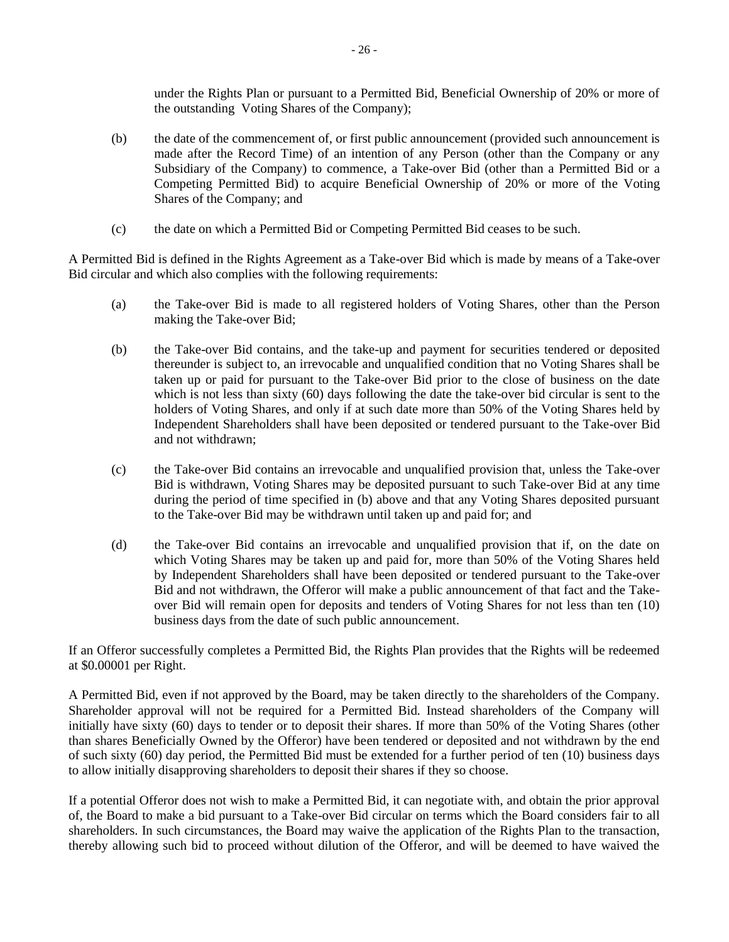under the Rights Plan or pursuant to a Permitted Bid, Beneficial Ownership of 20% or more of the outstanding Voting Shares of the Company);

- (b) the date of the commencement of, or first public announcement (provided such announcement is made after the Record Time) of an intention of any Person (other than the Company or any Subsidiary of the Company) to commence, a Take-over Bid (other than a Permitted Bid or a Competing Permitted Bid) to acquire Beneficial Ownership of 20% or more of the Voting Shares of the Company; and
- (c) the date on which a Permitted Bid or Competing Permitted Bid ceases to be such.

A Permitted Bid is defined in the Rights Agreement as a Take-over Bid which is made by means of a Take-over Bid circular and which also complies with the following requirements:

- (a) the Take-over Bid is made to all registered holders of Voting Shares, other than the Person making the Take-over Bid;
- (b) the Take-over Bid contains, and the take-up and payment for securities tendered or deposited thereunder is subject to, an irrevocable and unqualified condition that no Voting Shares shall be taken up or paid for pursuant to the Take-over Bid prior to the close of business on the date which is not less than sixty (60) days following the date the take-over bid circular is sent to the holders of Voting Shares, and only if at such date more than 50% of the Voting Shares held by Independent Shareholders shall have been deposited or tendered pursuant to the Take-over Bid and not withdrawn;
- (c) the Take-over Bid contains an irrevocable and unqualified provision that, unless the Take-over Bid is withdrawn, Voting Shares may be deposited pursuant to such Take-over Bid at any time during the period of time specified in (b) above and that any Voting Shares deposited pursuant to the Take-over Bid may be withdrawn until taken up and paid for; and
- (d) the Take-over Bid contains an irrevocable and unqualified provision that if, on the date on which Voting Shares may be taken up and paid for, more than 50% of the Voting Shares held by Independent Shareholders shall have been deposited or tendered pursuant to the Take-over Bid and not withdrawn, the Offeror will make a public announcement of that fact and the Takeover Bid will remain open for deposits and tenders of Voting Shares for not less than ten (10) business days from the date of such public announcement.

If an Offeror successfully completes a Permitted Bid, the Rights Plan provides that the Rights will be redeemed at \$0.00001 per Right.

A Permitted Bid, even if not approved by the Board, may be taken directly to the shareholders of the Company. Shareholder approval will not be required for a Permitted Bid. Instead shareholders of the Company will initially have sixty (60) days to tender or to deposit their shares. If more than 50% of the Voting Shares (other than shares Beneficially Owned by the Offeror) have been tendered or deposited and not withdrawn by the end of such sixty (60) day period, the Permitted Bid must be extended for a further period of ten (10) business days to allow initially disapproving shareholders to deposit their shares if they so choose.

If a potential Offeror does not wish to make a Permitted Bid, it can negotiate with, and obtain the prior approval of, the Board to make a bid pursuant to a Take-over Bid circular on terms which the Board considers fair to all shareholders. In such circumstances, the Board may waive the application of the Rights Plan to the transaction, thereby allowing such bid to proceed without dilution of the Offeror, and will be deemed to have waived the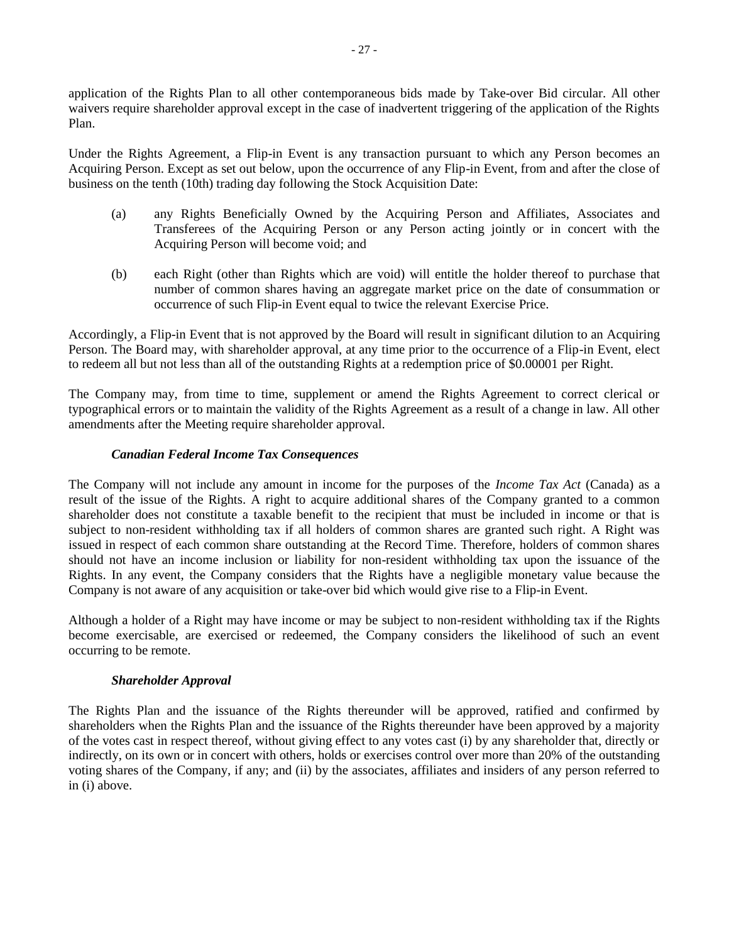application of the Rights Plan to all other contemporaneous bids made by Take-over Bid circular. All other waivers require shareholder approval except in the case of inadvertent triggering of the application of the Rights Plan.

Under the Rights Agreement, a Flip-in Event is any transaction pursuant to which any Person becomes an Acquiring Person. Except as set out below, upon the occurrence of any Flip-in Event, from and after the close of business on the tenth (10th) trading day following the Stock Acquisition Date:

- (a) any Rights Beneficially Owned by the Acquiring Person and Affiliates, Associates and Transferees of the Acquiring Person or any Person acting jointly or in concert with the Acquiring Person will become void; and
- (b) each Right (other than Rights which are void) will entitle the holder thereof to purchase that number of common shares having an aggregate market price on the date of consummation or occurrence of such Flip-in Event equal to twice the relevant Exercise Price.

Accordingly, a Flip-in Event that is not approved by the Board will result in significant dilution to an Acquiring Person. The Board may, with shareholder approval, at any time prior to the occurrence of a Flip-in Event, elect to redeem all but not less than all of the outstanding Rights at a redemption price of \$0.00001 per Right.

The Company may, from time to time, supplement or amend the Rights Agreement to correct clerical or typographical errors or to maintain the validity of the Rights Agreement as a result of a change in law. All other amendments after the Meeting require shareholder approval.

## *Canadian Federal Income Tax Consequences*

The Company will not include any amount in income for the purposes of the *Income Tax Act* (Canada) as a result of the issue of the Rights. A right to acquire additional shares of the Company granted to a common shareholder does not constitute a taxable benefit to the recipient that must be included in income or that is subject to non-resident withholding tax if all holders of common shares are granted such right. A Right was issued in respect of each common share outstanding at the Record Time. Therefore, holders of common shares should not have an income inclusion or liability for non-resident withholding tax upon the issuance of the Rights. In any event, the Company considers that the Rights have a negligible monetary value because the Company is not aware of any acquisition or take-over bid which would give rise to a Flip-in Event.

Although a holder of a Right may have income or may be subject to non-resident withholding tax if the Rights become exercisable, are exercised or redeemed, the Company considers the likelihood of such an event occurring to be remote.

### *Shareholder Approval*

The Rights Plan and the issuance of the Rights thereunder will be approved, ratified and confirmed by shareholders when the Rights Plan and the issuance of the Rights thereunder have been approved by a majority of the votes cast in respect thereof, without giving effect to any votes cast (i) by any shareholder that, directly or indirectly, on its own or in concert with others, holds or exercises control over more than 20% of the outstanding voting shares of the Company, if any; and (ii) by the associates, affiliates and insiders of any person referred to in (i) above.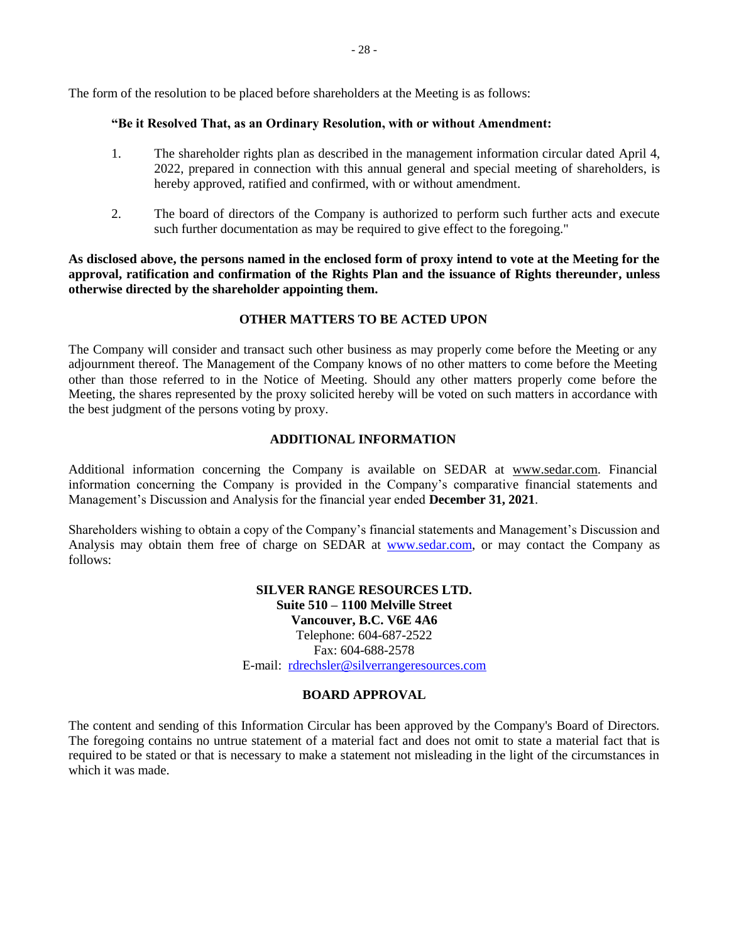The form of the resolution to be placed before shareholders at the Meeting is as follows:

#### **"Be it Resolved That, as an Ordinary Resolution, with or without Amendment:**

- 1. The shareholder rights plan as described in the management information circular dated April 4, 2022, prepared in connection with this annual general and special meeting of shareholders, is hereby approved, ratified and confirmed, with or without amendment.
- 2. The board of directors of the Company is authorized to perform such further acts and execute such further documentation as may be required to give effect to the foregoing."

**As disclosed above, the persons named in the enclosed form of proxy intend to vote at the Meeting for the approval, ratification and confirmation of the Rights Plan and the issuance of Rights thereunder, unless otherwise directed by the shareholder appointing them.**

#### **OTHER MATTERS TO BE ACTED UPON**

The Company will consider and transact such other business as may properly come before the Meeting or any adjournment thereof. The Management of the Company knows of no other matters to come before the Meeting other than those referred to in the Notice of Meeting. Should any other matters properly come before the Meeting, the shares represented by the proxy solicited hereby will be voted on such matters in accordance with the best judgment of the persons voting by proxy.

### **ADDITIONAL INFORMATION**

Additional information concerning the Company is available on SEDAR at www.sedar.com. Financial information concerning the Company is provided in the Company's comparative financial statements and Management's Discussion and Analysis for the financial year ended **December 31, 2021**.

Shareholders wishing to obtain a copy of the Company's financial statements and Management's Discussion and Analysis may obtain them free of charge on SEDAR at [www.sedar.com,](http://www.sedar.com/) or may contact the Company as follows:

> **SILVER RANGE RESOURCES LTD. Suite 510 – 1100 Melville Street Vancouver, B.C. V6E 4A6** Telephone: 604-687-2522 Fax: 604-688-2578 E-mail: [rdrechsler@silverrangeresources.com](mailto:rdrechsler@silverrangeresources.com)

### **BOARD APPROVAL**

The content and sending of this Information Circular has been approved by the Company's Board of Directors. The foregoing contains no untrue statement of a material fact and does not omit to state a material fact that is required to be stated or that is necessary to make a statement not misleading in the light of the circumstances in which it was made.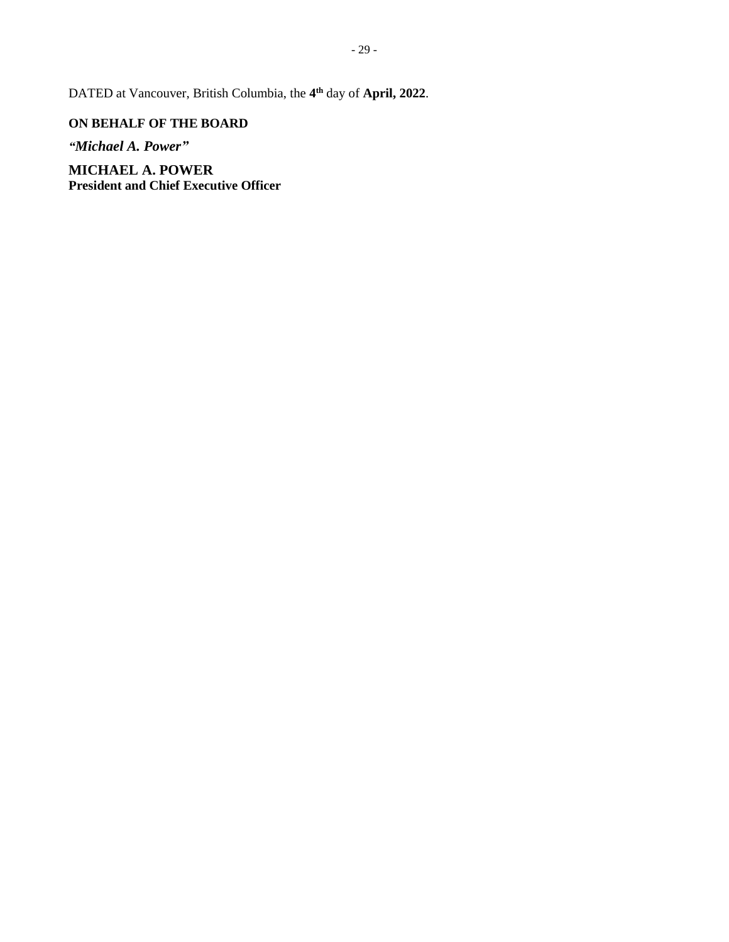DATED at Vancouver, British Columbia, the **4 th** day of **April, 2022**.

# **ON BEHALF OF THE BOARD**

*"Michael A. Power"*

**MICHAEL A. POWER President and Chief Executive Officer**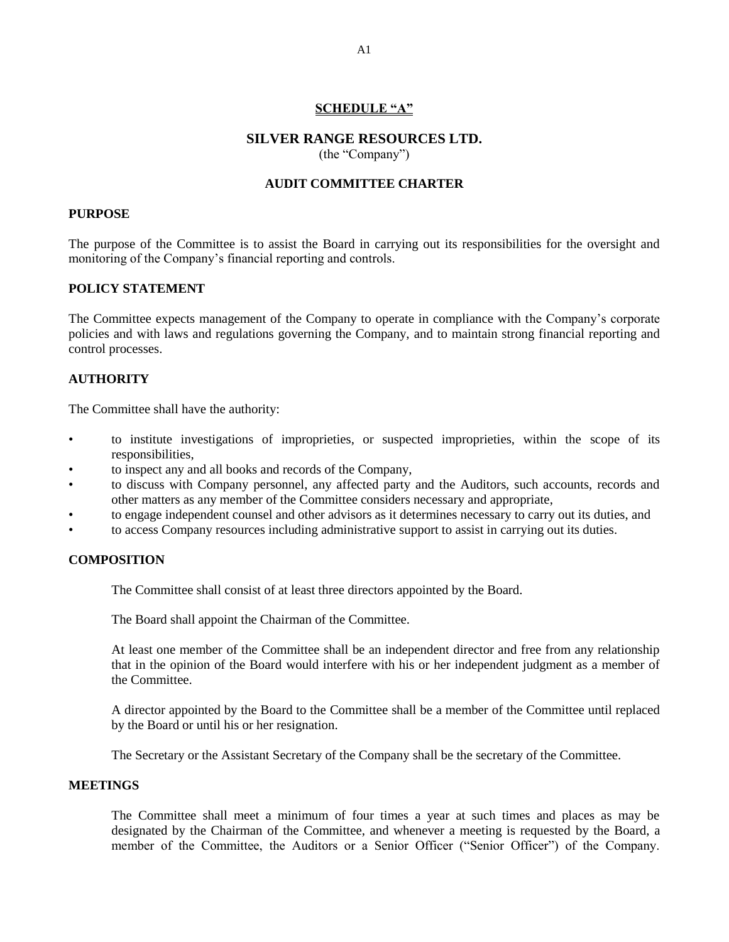#### **SCHEDULE "A"**

#### **SILVER RANGE RESOURCES LTD.**

(the "Company")

### **AUDIT COMMITTEE CHARTER**

#### **PURPOSE**

The purpose of the Committee is to assist the Board in carrying out its responsibilities for the oversight and monitoring of the Company's financial reporting and controls.

#### **POLICY STATEMENT**

The Committee expects management of the Company to operate in compliance with the Company's corporate policies and with laws and regulations governing the Company, and to maintain strong financial reporting and control processes.

### **AUTHORITY**

The Committee shall have the authority:

- to institute investigations of improprieties, or suspected improprieties, within the scope of its responsibilities,
- to inspect any and all books and records of the Company,
- to discuss with Company personnel, any affected party and the Auditors, such accounts, records and other matters as any member of the Committee considers necessary and appropriate,
- to engage independent counsel and other advisors as it determines necessary to carry out its duties, and
- to access Company resources including administrative support to assist in carrying out its duties.

#### **COMPOSITION**

The Committee shall consist of at least three directors appointed by the Board.

The Board shall appoint the Chairman of the Committee.

At least one member of the Committee shall be an independent director and free from any relationship that in the opinion of the Board would interfere with his or her independent judgment as a member of the Committee.

A director appointed by the Board to the Committee shall be a member of the Committee until replaced by the Board or until his or her resignation.

The Secretary or the Assistant Secretary of the Company shall be the secretary of the Committee.

## **MEETINGS**

The Committee shall meet a minimum of four times a year at such times and places as may be designated by the Chairman of the Committee, and whenever a meeting is requested by the Board, a member of the Committee, the Auditors or a Senior Officer ("Senior Officer") of the Company.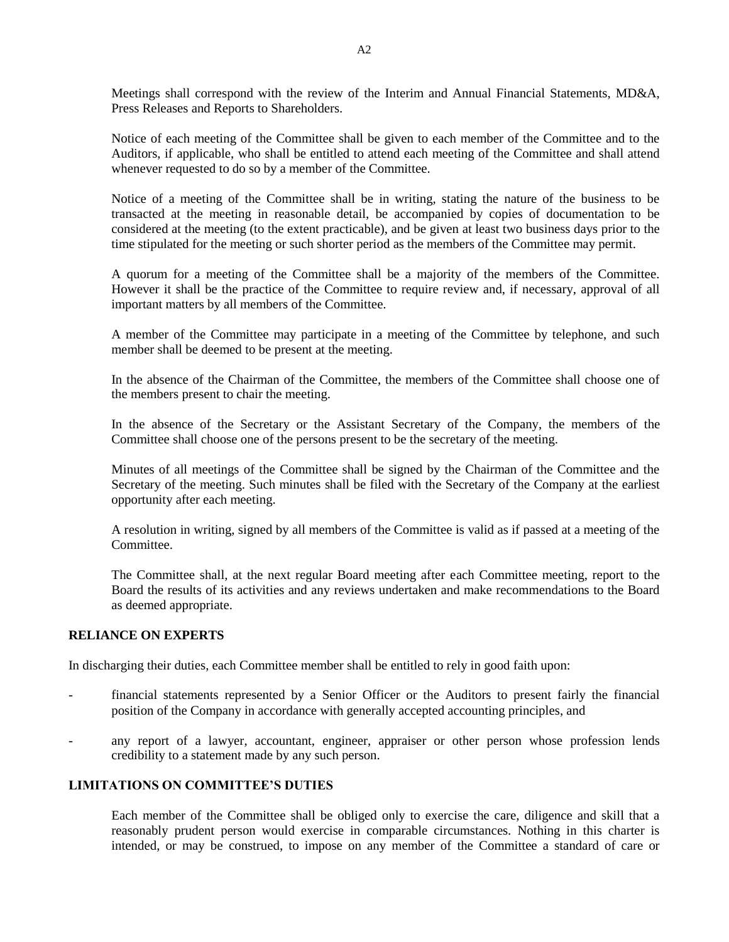Meetings shall correspond with the review of the Interim and Annual Financial Statements, MD&A, Press Releases and Reports to Shareholders.

Notice of each meeting of the Committee shall be given to each member of the Committee and to the Auditors, if applicable, who shall be entitled to attend each meeting of the Committee and shall attend whenever requested to do so by a member of the Committee.

Notice of a meeting of the Committee shall be in writing, stating the nature of the business to be transacted at the meeting in reasonable detail, be accompanied by copies of documentation to be considered at the meeting (to the extent practicable), and be given at least two business days prior to the time stipulated for the meeting or such shorter period as the members of the Committee may permit.

A quorum for a meeting of the Committee shall be a majority of the members of the Committee. However it shall be the practice of the Committee to require review and, if necessary, approval of all important matters by all members of the Committee.

A member of the Committee may participate in a meeting of the Committee by telephone, and such member shall be deemed to be present at the meeting.

In the absence of the Chairman of the Committee, the members of the Committee shall choose one of the members present to chair the meeting.

In the absence of the Secretary or the Assistant Secretary of the Company, the members of the Committee shall choose one of the persons present to be the secretary of the meeting.

Minutes of all meetings of the Committee shall be signed by the Chairman of the Committee and the Secretary of the meeting. Such minutes shall be filed with the Secretary of the Company at the earliest opportunity after each meeting.

A resolution in writing, signed by all members of the Committee is valid as if passed at a meeting of the Committee.

The Committee shall, at the next regular Board meeting after each Committee meeting, report to the Board the results of its activities and any reviews undertaken and make recommendations to the Board as deemed appropriate.

#### **RELIANCE ON EXPERTS**

In discharging their duties, each Committee member shall be entitled to rely in good faith upon:

- financial statements represented by a Senior Officer or the Auditors to present fairly the financial position of the Company in accordance with generally accepted accounting principles, and
- any report of a lawyer, accountant, engineer, appraiser or other person whose profession lends credibility to a statement made by any such person.

#### **LIMITATIONS ON COMMITTEE'S DUTIES**

Each member of the Committee shall be obliged only to exercise the care, diligence and skill that a reasonably prudent person would exercise in comparable circumstances. Nothing in this charter is intended, or may be construed, to impose on any member of the Committee a standard of care or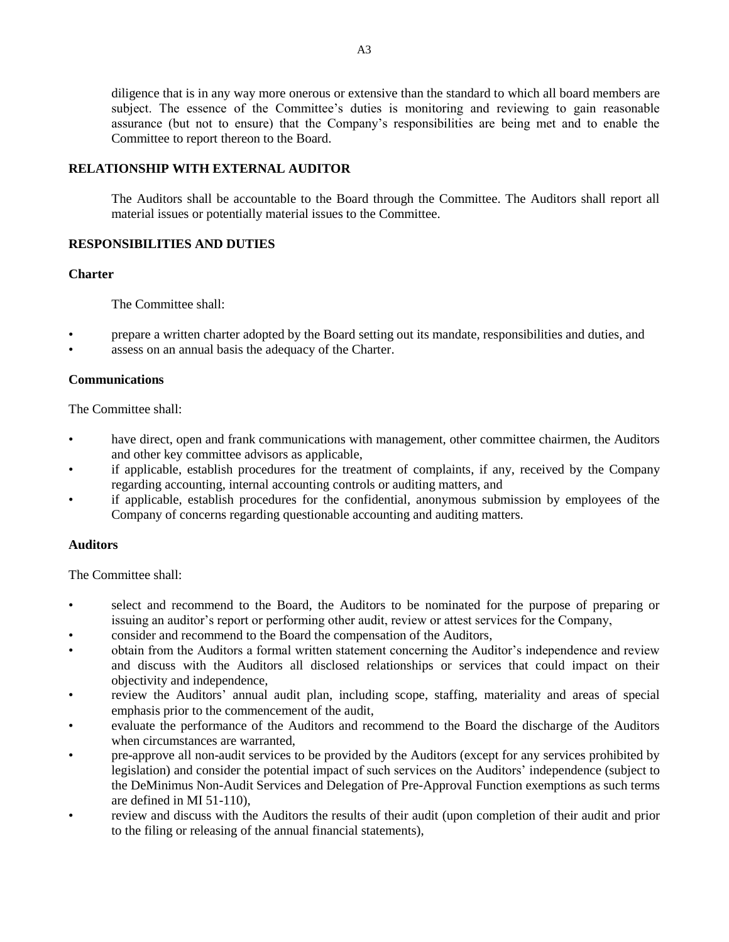diligence that is in any way more onerous or extensive than the standard to which all board members are subject. The essence of the Committee's duties is monitoring and reviewing to gain reasonable assurance (but not to ensure) that the Company's responsibilities are being met and to enable the Committee to report thereon to the Board.

### **RELATIONSHIP WITH EXTERNAL AUDITOR**

The Auditors shall be accountable to the Board through the Committee. The Auditors shall report all material issues or potentially material issues to the Committee.

#### **RESPONSIBILITIES AND DUTIES**

#### **Charter**

The Committee shall:

- prepare a written charter adopted by the Board setting out its mandate, responsibilities and duties, and
- assess on an annual basis the adequacy of the Charter.

### **Communications**

The Committee shall:

- have direct, open and frank communications with management, other committee chairmen, the Auditors and other key committee advisors as applicable,
- if applicable, establish procedures for the treatment of complaints, if any, received by the Company regarding accounting, internal accounting controls or auditing matters, and
- if applicable, establish procedures for the confidential, anonymous submission by employees of the Company of concerns regarding questionable accounting and auditing matters.

### **Auditors**

The Committee shall:

- select and recommend to the Board, the Auditors to be nominated for the purpose of preparing or issuing an auditor's report or performing other audit, review or attest services for the Company,
- consider and recommend to the Board the compensation of the Auditors,
- obtain from the Auditors a formal written statement concerning the Auditor's independence and review and discuss with the Auditors all disclosed relationships or services that could impact on their objectivity and independence,
- review the Auditors' annual audit plan, including scope, staffing, materiality and areas of special emphasis prior to the commencement of the audit,
- evaluate the performance of the Auditors and recommend to the Board the discharge of the Auditors when circumstances are warranted,
- pre-approve all non-audit services to be provided by the Auditors (except for any services prohibited by legislation) and consider the potential impact of such services on the Auditors' independence (subject to the DeMinimus Non-Audit Services and Delegation of Pre-Approval Function exemptions as such terms are defined in MI 51-110),
- review and discuss with the Auditors the results of their audit (upon completion of their audit and prior to the filing or releasing of the annual financial statements),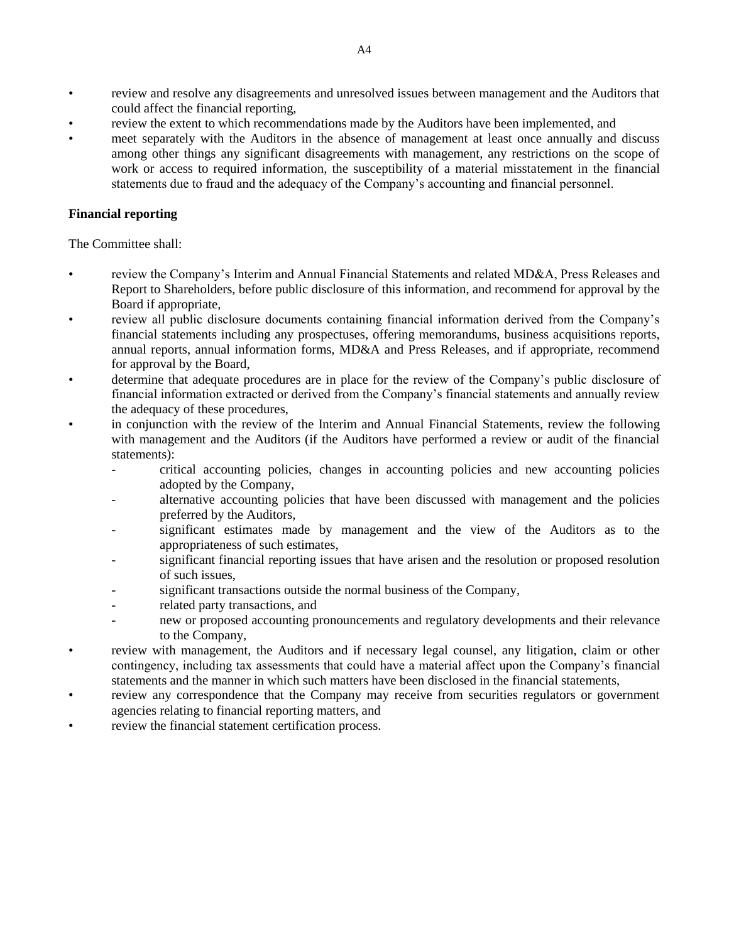- review and resolve any disagreements and unresolved issues between management and the Auditors that could affect the financial reporting,
- review the extent to which recommendations made by the Auditors have been implemented, and
- meet separately with the Auditors in the absence of management at least once annually and discuss among other things any significant disagreements with management, any restrictions on the scope of work or access to required information, the susceptibility of a material misstatement in the financial statements due to fraud and the adequacy of the Company's accounting and financial personnel.

#### **Financial reporting**

The Committee shall:

- review the Company's Interim and Annual Financial Statements and related MD&A, Press Releases and Report to Shareholders, before public disclosure of this information, and recommend for approval by the Board if appropriate,
- review all public disclosure documents containing financial information derived from the Company's financial statements including any prospectuses, offering memorandums, business acquisitions reports, annual reports, annual information forms, MD&A and Press Releases, and if appropriate, recommend for approval by the Board,
- determine that adequate procedures are in place for the review of the Company's public disclosure of financial information extracted or derived from the Company's financial statements and annually review the adequacy of these procedures,
- in conjunction with the review of the Interim and Annual Financial Statements, review the following with management and the Auditors (if the Auditors have performed a review or audit of the financial statements):
	- critical accounting policies, changes in accounting policies and new accounting policies adopted by the Company,
	- alternative accounting policies that have been discussed with management and the policies preferred by the Auditors,
	- significant estimates made by management and the view of the Auditors as to the appropriateness of such estimates,
	- significant financial reporting issues that have arisen and the resolution or proposed resolution of such issues,
	- significant transactions outside the normal business of the Company,
	- related party transactions, and
	- new or proposed accounting pronouncements and regulatory developments and their relevance to the Company,
- review with management, the Auditors and if necessary legal counsel, any litigation, claim or other contingency, including tax assessments that could have a material affect upon the Company's financial statements and the manner in which such matters have been disclosed in the financial statements,
- review any correspondence that the Company may receive from securities regulators or government agencies relating to financial reporting matters, and
- review the financial statement certification process.